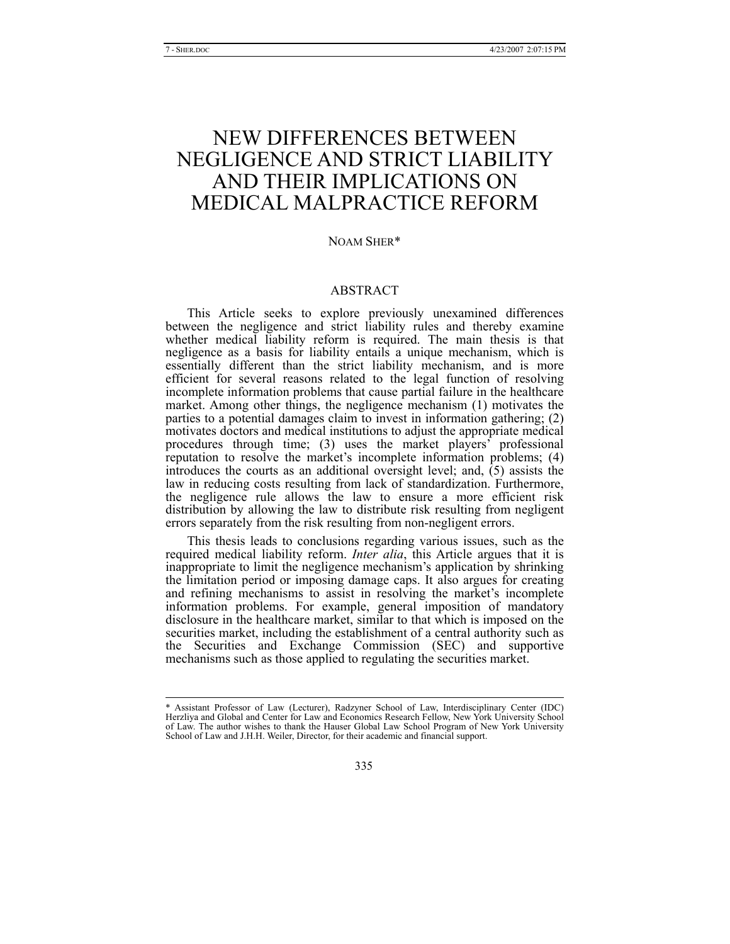# NEW DIFFERENCES BETWEEN NEGLIGENCE AND STRICT LIABILITY AND THEIR IMPLICATIONS ON MEDICAL MALPRACTICE REFORM

#### NOAM SHER\*

# ABSTRACT

This Article seeks to explore previously unexamined differences between the negligence and strict liability rules and thereby examine whether medical liability reform is required. The main thesis is that negligence as a basis for liability entails a unique mechanism, which is essentially different than the strict liability mechanism, and is more efficient for several reasons related to the legal function of resolving incomplete information problems that cause partial failure in the healthcare market. Among other things, the negligence mechanism (1) motivates the parties to a potential damages claim to invest in information gathering; (2) motivates doctors and medical institutions to adjust the appropriate medical procedures through time; (3) uses the market players' professional reputation to resolve the market's incomplete information problems; (4) introduces the courts as an additional oversight level; and, (5) assists the law in reducing costs resulting from lack of standardization. Furthermore, the negligence rule allows the law to ensure a more efficient risk distribution by allowing the law to distribute risk resulting from negligent errors separately from the risk resulting from non-negligent errors.

This thesis leads to conclusions regarding various issues, such as the required medical liability reform. *Inter alia*, this Article argues that it is inappropriate to limit the negligence mechanism's application by shrinking the limitation period or imposing damage caps. It also argues for creating and refining mechanisms to assist in resolving the market's incomplete information problems. For example, general imposition of mandatory disclosure in the healthcare market, similar to that which is imposed on the securities market, including the establishment of a central authority such as the Securities and Exchange Commission (SEC) and supportive mechanisms such as those applied to regulating the securities market.

 <sup>\*</sup> Assistant Professor of Law (Lecturer), Radzyner School of Law, Interdisciplinary Center (IDC) Herzliya and Global and Center for Law and Economics Research Fellow, New York University School of Law. The author wishes to thank the Hauser Global Law School Program of New York University School of Law and J.H.H. Weiler, Director, for their academic and financial support.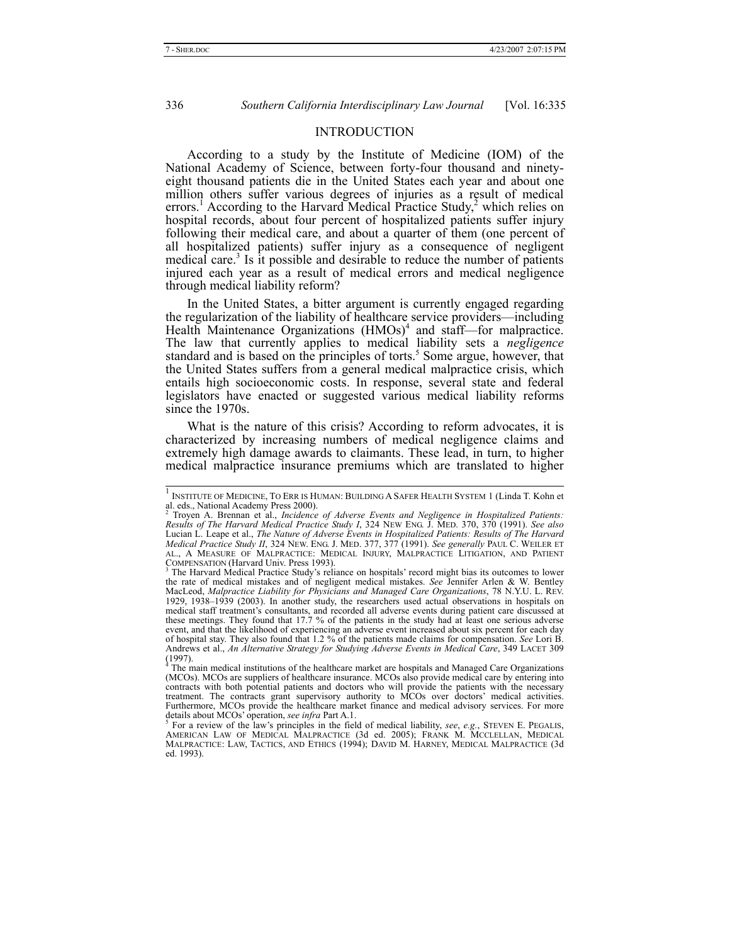### INTRODUCTION

According to a study by the Institute of Medicine (IOM) of the National Academy of Science, between forty-four thousand and ninetyeight thousand patients die in the United States each year and about one million others suffer various degrees of injuries as a result of medical errors.<sup>1</sup> According to the Harvard Medical Practice Study,<sup>2</sup> which relies on hospital records, about four percent of hospitalized patients suffer injury following their medical care, and about a quarter of them (one percent of all hospitalized patients) suffer injury as a consequence of negligent medical care.<sup>3</sup> Is it possible and desirable to reduce the number of patients injured each year as a result of medical errors and medical negligence through medical liability reform?

In the United States, a bitter argument is currently engaged regarding the regularization of the liability of healthcare service providers—including Health Maintenance Organizations (HMOs)<sup>4</sup> and staff-for malpractice. The law that currently applies to medical liability sets a *negligence* standard and is based on the principles of torts.<sup>5</sup> Some argue, however, that the United States suffers from a general medical malpractice crisis, which entails high socioeconomic costs. In response, several state and federal legislators have enacted or suggested various medical liability reforms since the 1970s.

What is the nature of this crisis? According to reform advocates, it is characterized by increasing numbers of medical negligence claims and extremely high damage awards to claimants. These lead, in turn, to higher medical malpractice insurance premiums which are translated to higher

 <sup>1</sup> INSTITUTE OF MEDICINE, TO ERR IS HUMAN: BUILDING A SAFER HEALTH SYSTEM 1 (Linda T. Kohn et al. eds., National Academy Press 2000).<br><sup>2</sup> Troven A. Prennen et al. *Insidence* 

Troyen A. Brennan et al., *Incidence of Adverse Events and Negligence in Hospitalized Patients: Results of The Harvard Medical Practice Study I*, 324 NEW ENG. J. MED. 370, 370 (1991). *See also*  Lucian L. Leape et al., *The Nature of Adverse Events in Hospitalized Patients: Results of The Harvard Medical Practice Study II*, 324 NEW. ENG. J. MED. 377, 377 (1991). *See generally* PAUL C. WEILER ET AL., A MEASURE OF MALPRACTICE: MEDICAL INJURY, MALPRACTICE LITIGATION, AND PATIENT COMPENSATION (Harvard Univ. Press 1993).<br><sup>3</sup> The Harvard Medical Practice Study's reliance on hospitals' record might bias its outcomes to lower

the rate of medical mistakes and of negligent medical mistakes. *See* Jennifer Arlen & W. Bentley MacLeod, *Malpractice Liability for Physicians and Managed Care Organizations*, 78 N.Y.U. L. REV. 1929, 1938–1939 (2003). In another study, the researchers used actual observations in hospitals on medical staff treatment's consultants, and recorded all adverse events during patient care discussed at these meetings. They found that 17.7 % of the patients in the study had at least one serious adverse event, and that the likelihood of experiencing an adverse event increased about six percent for each day of hospital stay. They also found that 1.2 % of the patients made claims for compensation. *See* Lori B. Andrews et al., *An Alternative Strategy for Studying Adverse Events in Medical Care*, 349 LACET 309  $(1997)$ .

<sup>&</sup>lt;sup>4</sup> The main medical institutions of the healthcare market are hospitals and Managed Care Organizations (MCOs). MCOs are suppliers of healthcare insurance. MCOs also provide medical care by entering into contracts with both potential patients and doctors who will provide the patients with the necessary treatment. The contracts grant supervisory authority to MCOs over doctors' medical activities.<br>Furthermore, MCOs provide t details about MCOs' operation, *see infra* Part A.1. 5

<sup>&</sup>lt;sup>5</sup> For a review of the law's principles in the field of medical liability, *see*, *e.g.*, STEVEN E. PEGALIS, AMERICAN LAW OF MEDICAL MALPRACTICE (3d ed. 2005); FRANK M. MCCLELLAN, MEDICAL MALPRACTICE: LAW, TACTICS, AND ETHICS (1994); DAVID M. HARNEY, MEDICAL MALPRACTICE (3d ed. 1993).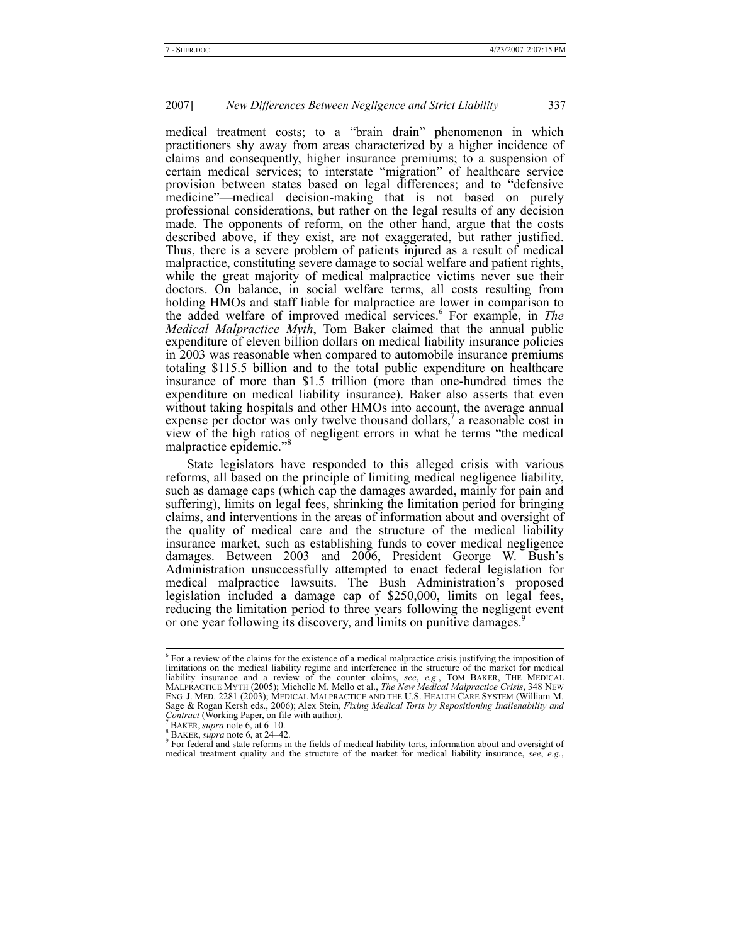medical treatment costs; to a "brain drain" phenomenon in which practitioners shy away from areas characterized by a higher incidence of claims and consequently, higher insurance premiums; to a suspension of certain medical services; to interstate "migration" of healthcare service provision between states based on legal differences; and to "defensive medicine"—medical decision-making that is not based on purely professional considerations, but rather on the legal results of any decision made. The opponents of reform, on the other hand, argue that the costs described above, if they exist, are not exaggerated, but rather justified. Thus, there is a severe problem of patients injured as a result of medical malpractice, constituting severe damage to social welfare and patient rights, while the great majority of medical malpractice victims never sue their doctors. On balance, in social welfare terms, all costs resulting from holding HMOs and staff liable for malpractice are lower in comparison to the added welfare of improved medical services.<sup>6</sup> For example, in *The Medical Malpractice Myth*, Tom Baker claimed that the annual public expenditure of eleven billion dollars on medical liability insurance policies in 2003 was reasonable when compared to automobile insurance premiums totaling \$115.5 billion and to the total public expenditure on healthcare insurance of more than \$1.5 trillion (more than one-hundred times the expenditure on medical liability insurance). Baker also asserts that even without taking hospitals and other HMOs into account, the average annual expense per doctor was only twelve thousand dollars,<sup>7</sup> a reasonable cost in view of the high ratios of negligent errors in what he terms "the medical malpractice epidemic.'

State legislators have responded to this alleged crisis with various reforms, all based on the principle of limiting medical negligence liability, such as damage caps (which cap the damages awarded, mainly for pain and suffering), limits on legal fees, shrinking the limitation period for bringing claims, and interventions in the areas of information about and oversight of the quality of medical care and the structure of the medical liability insurance market, such as establishing funds to cover medical negligence damages. Between 2003 and 2006, President George W. Bush's Administration unsuccessfully attempted to enact federal legislation for medical malpractice lawsuits. The Bush Administration's proposed legislation included a damage cap of \$250,000, limits on legal fees, reducing the limitation period to three years following the negligent event or one year following its discovery, and limits on punitive damages.<sup>9</sup>

 <sup>6</sup>  $6$  For a review of the claims for the existence of a medical malpractice crisis justifying the imposition of limitations on the medical liability regime and interference in the structure of the market for medical liability insurance and a review of the counter claims, *see*, *e.g.*, TOM BAKER, THE MEDICAL MALPRACTICE MYTH (2005); Michelle M. Mello et al., *The New Medical Malpractice Crisis*, 348 NEW ENG. J. MED. 2281 (2003); MEDICAL MALPRACTICE AND THE U.S. HEALTH CARE SYSTEM (William M. Sage & Rogan Kersh eds., 2006); Alex Stein, *Fixing Medical Torts by Repositioning Inalienability and Contract* (Working Paper, on file with author).<br><sup>7</sup> BAKER, *supra* note 6, at 6–10.<br><sup>8</sup> BAKER, *supra* note 6, at 24–42.

For federal and state reforms in the fields of medical liability torts, information about and oversight of medical treatment quality and the structure of the market for medical liability insurance, *see*, *e.g.*,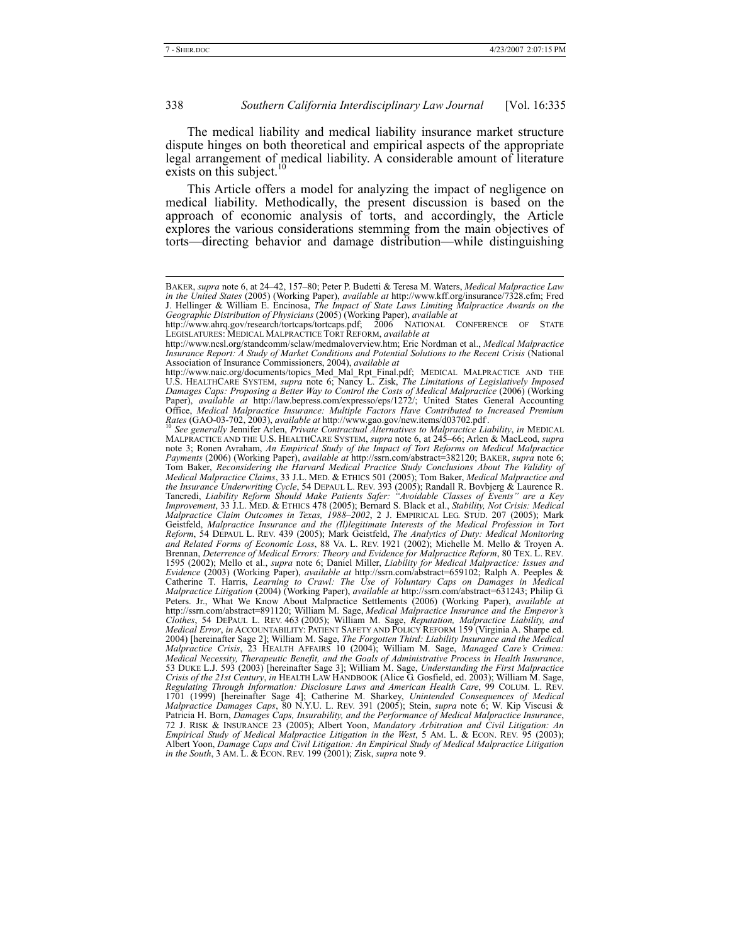The medical liability and medical liability insurance market structure dispute hinges on both theoretical and empirical aspects of the appropriate legal arrangement of medical liability. A considerable amount of literature exists on this subject.<sup>10</sup>

This Article offers a model for analyzing the impact of negligence on medical liability. Methodically, the present discussion is based on the approach of economic analysis of torts, and accordingly, the Article explores the various considerations stemming from the main objectives of torts—directing behavior and damage distribution—while distinguishing

BAKER, *supra* note 6, at 24–42, 157–80; Peter P. Budetti & Teresa M. Waters, *Medical Malpractice Law in the United States* (2005) (Working Paper), *available at* http://www.kff.org/insurance/7328.cfm; Fred J. Hellinger & William E. Encinosa, *The Impact of State Laws Limiting Malpractice Awards on the Geographic Distribution of Physicians* (2005) (Working Paper), *available at*

http://www.ahrq.gov/research/tortcaps/tortcaps.pdf; 2006 NATIONAL CONFERENCE OF STATE LEGISLATURES: MEDICAL MALPRACTICE TORT REFORM, *available at*

http://www.ncsl.org/standcomm/sclaw/medmaloverview.htm; Eric Nordman et al., *Medical Malpractice Insurance Report: A Study of Market Conditions and Potential Solutions to the Recent Crisis* (National Association of Insurance Commissioners, 2004), *available at*

http://www.naic.org/documents/topics\_Med\_Mal\_Rpt\_Final.pdf; MEDICAL\_MALPRACTICE\_AND\_THE<br>U.S. HEALTHCARE SYSTEM, *supra* note 6, Nancy L. Zisk, *The Limitations of Legislatively Imposed*<br>Damages Caps: Proposing a Better Way Paper), *available at* http://law.bepress.com/expresso/eps/1272/; United States General Accounting Office, Medical Malpractice Insurance: Multiple Factors Have Contributed to Increased Premium<br>Rates (GAO-03-702, 2003), available at http://www.gao.gov/new.items/d03702.pdf.<br><sup>10</sup> See generally Jennifer Arlen, Private Contr

<sup>&</sup>lt;sup>10</sup> See generally Jennifer Arlen, *Private Contractual Alternatives to Malpractice Liability, in* MEDICAL MALPRACTICE AND THE U.S. HEALTHCARE SYSTEM, *supra* note 6, at 245–66; Arlen & MacLeod, *supra* note 3; Ronen Avraham, *An Empirical Study of the Impact of Tort Reforms on Medical Malpractice Payments* (2006) (Working Paper), *available at* http://ssrn.com/abstract=382120; BAKER, *supra* note 6; Tom Baker, *Reconsidering the Harvard Medical Practice Study Conclusions About The Validity of Medical Malpractice Claims*, 33 J.L. MED. & ETHICS 501 (2005); Tom Baker, *Medical Malpractice and*  the Insurance Underwriting Cycle, 54 DEPAUL L. REV. 393 (2005); Randall R. Bovbjerg & Laurence R.<br>Tancredi, *Liability Reform Should Make Patients Safer: "Avoidable Classes of Events" are a Key*<br>Improvement, 33 J.L. MED. & *Malpractice Claim Outcomes in Texas, 1988–2002*, 2 J. EMPIRICAL LEG. STUD. 207 (2005); Mark Geistfeld, *Malpractice Insurance and the (Il)legitimate Interests of the Medical Profession in Tort Reform*, 54 DEPAUL L. REV. 439 (2005); Mark Geistfeld, *The Analytics of Duty: Medical Monitoring and Related Forms of Economic Loss*, 88 VA. L. REV. 1921 (2002); Michelle M. Mello & Troyen A. Brennan, *Deterrence of Medical Errors: Theory and Evidence for Malpractice Reform*, 80 TEX. L. REV.<br>1595 (2002); Mello et al., *supra* note 6; Daniel Miller, *Liability for Medical Malpractice: Issues and Evidence* (2003) (Working Paper), *available at* http://ssrn.com/abstract=659102; Ralph A. Peeples & Catherine T. Harris, *Learning to Crawl: The Use of Voluntary Caps on Damages in Medical Malpractice Litigation* (2004) (Working Paper), *available at* http://ssrn.com/abstract=631243; Philip G. Peters. Jr., What We Know About Malpractice Settlements (2006) (Working Paper), *available at* http://ssrn.com/abstract=891120; William M. Sage, *Medical Malpractice Insurance and the Emperor's Clothes*, 54 DEPAUL L. REV. 463 (2005); William M. Sage, *Reputation, Malpractice Liability, and Medical Error*, *in* ACCOUNTABILITY: PATIENT SAFETY AND POLICY REFORM 159 (Virginia A. Sharpe ed. 2004) [hereinafter Sage 2]; William M. Sage, *The Forgotten Third: Liability Insurance and the Medical Malpractice Crisis*, 23 HEALTH AFFAIRS 10 (2004); William M. Sage, *Managed Care's Crimea: Medical Necessity, Therapeutic Benefit, and the Goals of Administrative Process in Health Insurance*, 53 DUKE L.J. 593 (2003) [hereinafter Sage 3]; William M. Sage, *Understanding the First Malpractice Crisis of the 21st Century*, *in* HEALTH LAW HANDBOOK (Alice G. Gosfield, ed. 2003); William M. Sage, Regulating Through Information: Disclosure Laws and American Health Care, 99 COLUM. L. REV.<br>1701 (1999) [hereinafter Sage 4]; Catherine M. Sharkey, Unintended Consequences of Medical<br>Malpractice Damages Caps, 80 N.Y.U. L. Patricia H. Born, *Damages Caps, Insurability, and the Performance of Medical Malpractice Insurance*, 72 J. RISK & INSURANCE 23 (2005); Albert Yoon, *Mandatory Arbitration and Civil Litigation: An Empirical Study of Medical Malpractice Litigation in the West*, 5 AM. L. & ECON. REV. 95 (2003); Albert Yoon, *Damage Caps and Civil Litigation: An Empirical Study of Medical Malpractice Litigation in the South*, 3 AM. L. & ECON. REV. 199 (2001); Zisk, *supra* note 9.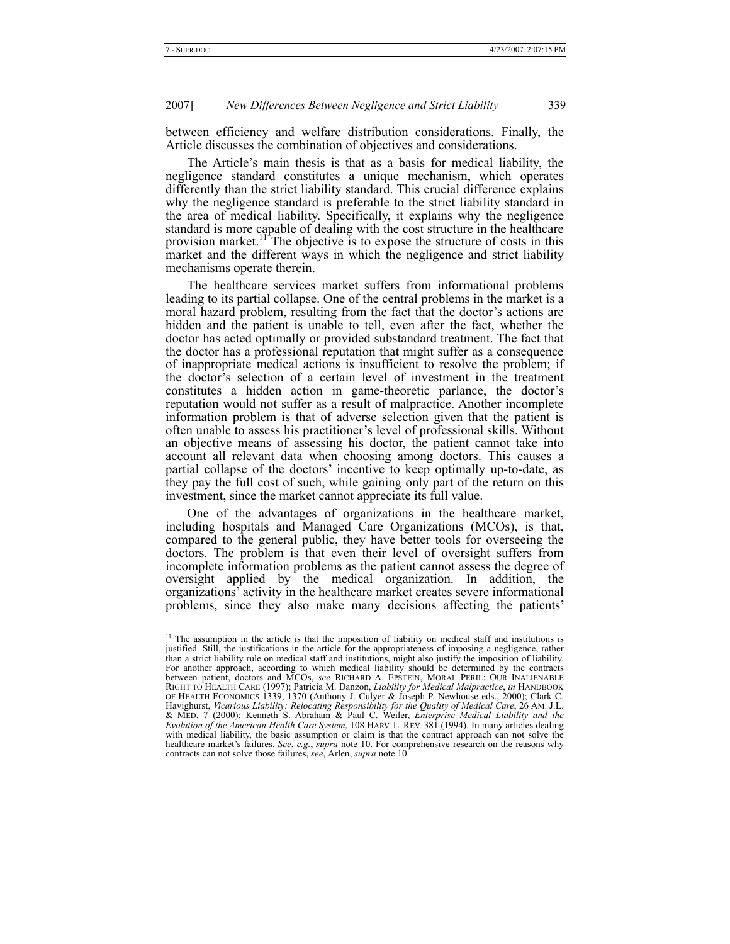between efficiency and welfare distribution considerations. Finally, the Article discusses the combination of objectives and considerations.

The Article's main thesis is that as a basis for medical liability, the negligence standard constitutes a unique mechanism, which operates differently than the strict liability standard. This crucial difference explains why the negligence standard is preferable to the strict liability standard in the area of medical liability. Specifically, it explains why the negligence standard is more capable of dealing with the cost structure in the healthcare provision market.<sup>11</sup> The objective is to expose the structure of costs in this market and the different ways in which the negligence and strict liability mechanisms operate therein.

The healthcare services market suffers from informational problems leading to its partial collapse. One of the central problems in the market is a moral hazard problem, resulting from the fact that the doctor's actions are hidden and the patient is unable to tell, even after the fact, whether the doctor has acted optimally or provided substandard treatment. The fact that the doctor has a professional reputation that might suffer as a consequence of inappropriate medical actions is insufficient to resolve the problem; if the doctor's selection of a certain level of investment in the treatment constitutes a hidden action in game-theoretic parlance, the doctor's reputation would not suffer as a result of malpractice. Another incomplete information problem is that of adverse selection given that the patient is often unable to assess his practitioner's level of professional skills. Without an objective means of assessing his doctor, the patient cannot take into account all relevant data when choosing among doctors. This causes a partial collapse of the doctors' incentive to keep optimally up-to-date, as they pay the full cost of such, while gaining only part of the return on this investment, since the market cannot appreciate its full value.

One of the advantages of organizations in the healthcare market, including hospitals and Managed Care Organizations (MCOs), is that, compared to the general public, they have better tools for overseeing the doctors. The problem is that even their level of oversight suffers from incomplete information problems as the patient cannot assess the degree of oversight applied by the medical organization. In addition, the organizations' activity in the healthcare market creates severe informational problems, since they also make many decisions affecting the patients'

<sup>&</sup>lt;sup>11</sup> The assumption in the article is that the imposition of liability on medical staff and institutions is justified. Still, the justifications in the article for the appropriateness of imposing a negligence, rather than a strict liability rule on medical staff and institutions, might also justify the imposition of liability. For another approach, according to which medical liability should be determined by the contracts between patient, doctors and MCOs, *see* RICHARD A. EPSTEIN, MORAL PERIL: OUR INALIENABLE RIGHT TO HEALTH CARE (1997); Patricia M. Danzon, *Liability for Medical Malpractice*, *in* HANDBOOK OF HEALTH ECONOMICS 1339, 1370 (Anthony J. Culyer & Joseph P. Newhouse eds., 2000); Clark C. Havighurst, *Vicarious Liability: Relocating Responsibility for the Quality of Medical Care*, 26 AM. J.L. & MED. 7 (2000); Kenneth S. Abraham & Paul C. Weiler, *Enterprise Medical Liability and the Evolution of the American Health Care System*, 108 HARV. L. REV. 381 (1994). In many articles dealing with medical liability, the basic assumption or claim is that the contract approach can not solve the healthcare market's failures. *See*, *e.g.*, *supra* note 10. For comprehensive research on the reasons why contracts can not solve those failures, *see*, Arlen, *supra* note 10.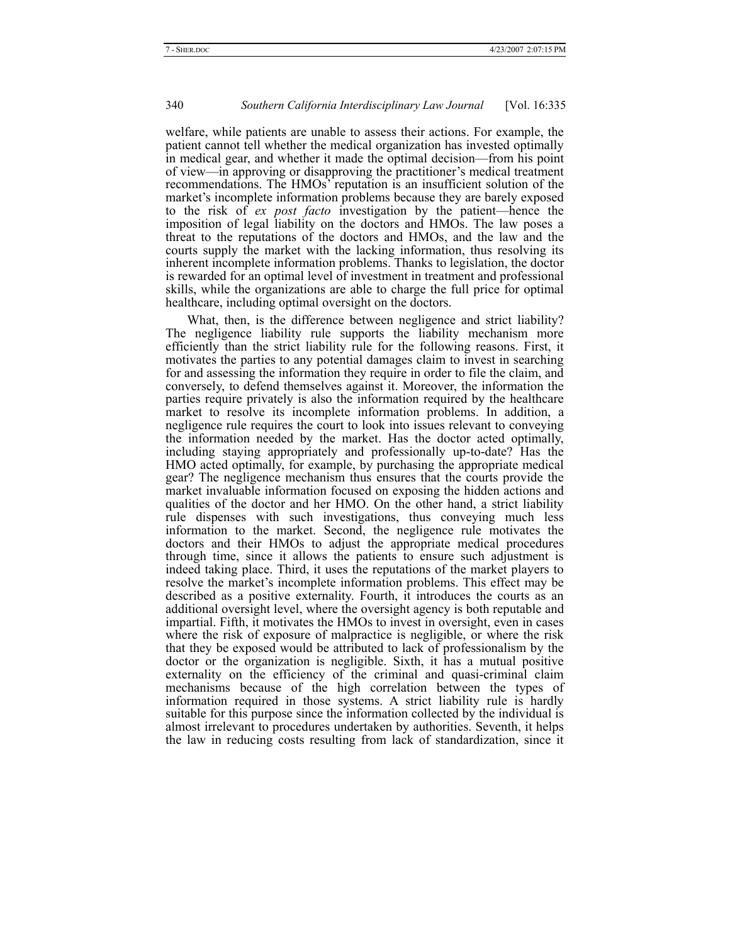welfare, while patients are unable to assess their actions. For example, the patient cannot tell whether the medical organization has invested optimally in medical gear, and whether it made the optimal decision—from his point of view—in approving or disapproving the practitioner's medical treatment recommendations. The HMOs' reputation is an insufficient solution of the market's incomplete information problems because they are barely exposed to the risk of *ex post facto* investigation by the patient—hence the imposition of legal liability on the doctors and HMOs. The law poses a threat to the reputations of the doctors and HMOs, and the law and the courts supply the market with the lacking information, thus resolving its inherent incomplete information problems. Thanks to legislation, the doctor is rewarded for an optimal level of investment in treatment and professional skills, while the organizations are able to charge the full price for optimal healthcare, including optimal oversight on the doctors.

What, then, is the difference between negligence and strict liability? The negligence liability rule supports the liability mechanism more efficiently than the strict liability rule for the following reasons. First, it motivates the parties to any potential damages claim to invest in searching for and assessing the information they require in order to file the claim, and conversely, to defend themselves against it. Moreover, the information the parties require privately is also the information required by the healthcare market to resolve its incomplete information problems. In addition, a negligence rule requires the court to look into issues relevant to conveying the information needed by the market. Has the doctor acted optimally, including staying appropriately and professionally up-to-date? Has the HMO acted optimally, for example, by purchasing the appropriate medical gear? The negligence mechanism thus ensures that the courts provide the market invaluable information focused on exposing the hidden actions and qualities of the doctor and her HMO. On the other hand, a strict liability rule dispenses with such investigations, thus conveying much less information to the market. Second, the negligence rule motivates the doctors and their HMOs to adjust the appropriate medical procedures through time, since it allows the patients to ensure such adjustment is indeed taking place. Third, it uses the reputations of the market players to resolve the market's incomplete information problems. This effect may be described as a positive externality. Fourth, it introduces the courts as an additional oversight level, where the oversight agency is both reputable and impartial. Fifth, it motivates the HMOs to invest in oversight, even in cases where the risk of exposure of malpractice is negligible, or where the risk that they be exposed would be attributed to lack of professionalism by the doctor or the organization is negligible. Sixth, it has a mutual positive externality on the efficiency of the criminal and quasi-criminal claim mechanisms because of the high correlation between the types of information required in those systems. A strict liability rule is hardly suitable for this purpose since the information collected by the individual is almost irrelevant to procedures undertaken by authorities. Seventh, it helps the law in reducing costs resulting from lack of standardization, since it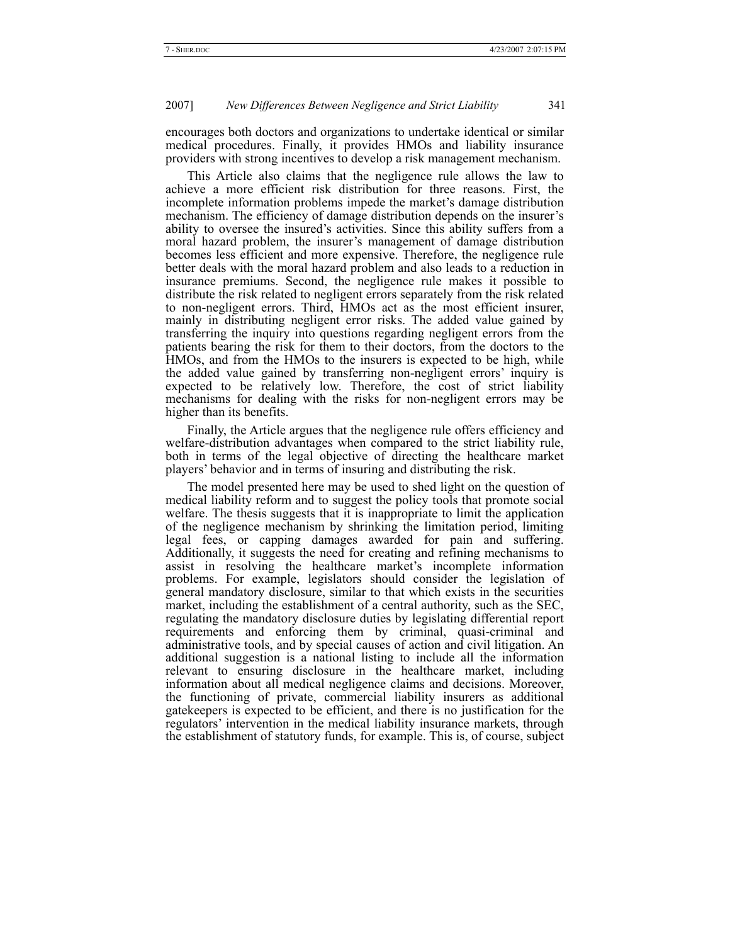encourages both doctors and organizations to undertake identical or similar medical procedures. Finally, it provides HMOs and liability insurance providers with strong incentives to develop a risk management mechanism.

This Article also claims that the negligence rule allows the law to achieve a more efficient risk distribution for three reasons. First, the incomplete information problems impede the market's damage distribution mechanism. The efficiency of damage distribution depends on the insurer's ability to oversee the insured's activities. Since this ability suffers from a moral hazard problem, the insurer's management of damage distribution becomes less efficient and more expensive. Therefore, the negligence rule better deals with the moral hazard problem and also leads to a reduction in insurance premiums. Second, the negligence rule makes it possible to distribute the risk related to negligent errors separately from the risk related to non-negligent errors. Third, HMOs act as the most efficient insurer, mainly in distributing negligent error risks. The added value gained by transferring the inquiry into questions regarding negligent errors from the patients bearing the risk for them to their doctors, from the doctors to the HMOs, and from the HMOs to the insurers is expected to be high, while the added value gained by transferring non-negligent errors' inquiry is expected to be relatively low. Therefore, the cost of strict liability mechanisms for dealing with the risks for non-negligent errors may be higher than its benefits.

Finally, the Article argues that the negligence rule offers efficiency and welfare-distribution advantages when compared to the strict liability rule, both in terms of the legal objective of directing the healthcare market players' behavior and in terms of insuring and distributing the risk.

The model presented here may be used to shed light on the question of medical liability reform and to suggest the policy tools that promote social welfare. The thesis suggests that it is inappropriate to limit the application of the negligence mechanism by shrinking the limitation period, limiting legal fees, or capping damages awarded for pain and suffering. Additionally, it suggests the need for creating and refining mechanisms to assist in resolving the healthcare market's incomplete information problems. For example, legislators should consider the legislation of general mandatory disclosure, similar to that which exists in the securities market, including the establishment of a central authority, such as the SEC, regulating the mandatory disclosure duties by legislating differential report requirements and enforcing them by criminal, quasi-criminal and administrative tools, and by special causes of action and civil litigation. An additional suggestion is a national listing to include all the information relevant to ensuring disclosure in the healthcare market, including information about all medical negligence claims and decisions. Moreover, the functioning of private, commercial liability insurers as additional gatekeepers is expected to be efficient, and there is no justification for the regulators' intervention in the medical liability insurance markets, through the establishment of statutory funds, for example. This is, of course, subject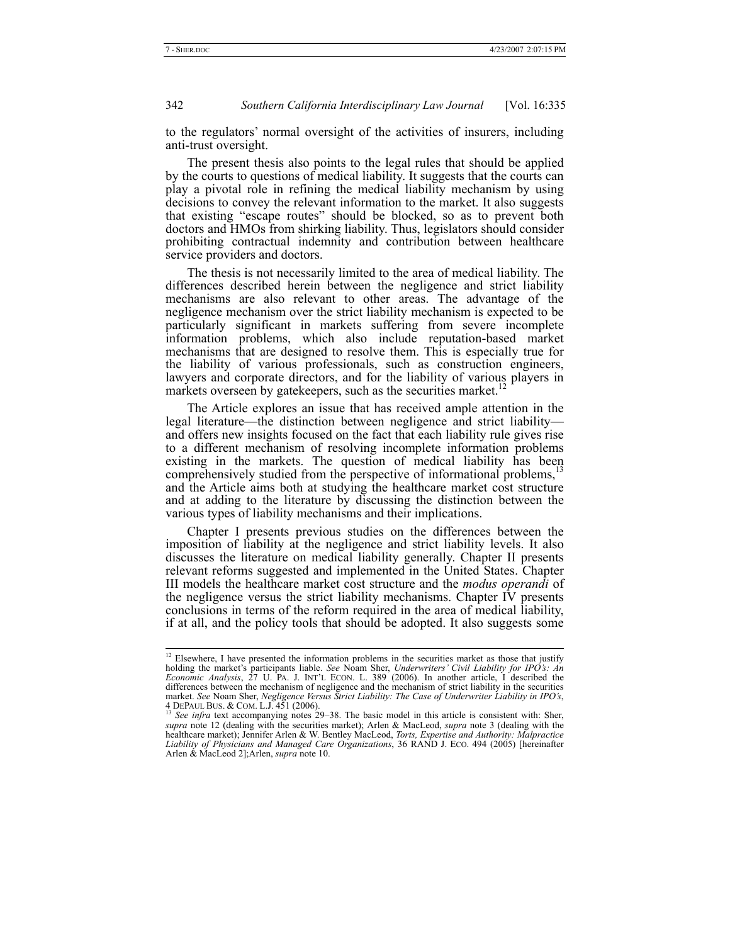to the regulators' normal oversight of the activities of insurers, including anti-trust oversight.

The present thesis also points to the legal rules that should be applied by the courts to questions of medical liability. It suggests that the courts can play a pivotal role in refining the medical liability mechanism by using decisions to convey the relevant information to the market. It also suggests that existing "escape routes" should be blocked, so as to prevent both doctors and HMOs from shirking liability. Thus, legislators should consider prohibiting contractual indemnity and contribution between healthcare service providers and doctors.

The thesis is not necessarily limited to the area of medical liability. The differences described herein between the negligence and strict liability mechanisms are also relevant to other areas. The advantage of the negligence mechanism over the strict liability mechanism is expected to be particularly significant in markets suffering from severe incomplete information problems, which also include reputation-based market mechanisms that are designed to resolve them. This is especially true for the liability of various professionals, such as construction engineers, lawyers and corporate directors, and for the liability of various players in markets overseen by gatekeepers, such as the securities market.

The Article explores an issue that has received ample attention in the legal literature—the distinction between negligence and strict liability and offers new insights focused on the fact that each liability rule gives rise to a different mechanism of resolving incomplete information problems existing in the markets. The question of medical liability has been comprehensively studied from the perspective of informational problems,<sup>1</sup> and the Article aims both at studying the healthcare market cost structure and at adding to the literature by discussing the distinction between the various types of liability mechanisms and their implications.

Chapter I presents previous studies on the differences between the imposition of liability at the negligence and strict liability levels. It also discusses the literature on medical liability generally. Chapter II presents relevant reforms suggested and implemented in the United States. Chapter III models the healthcare market cost structure and the *modus operandi* of the negligence versus the strict liability mechanisms. Chapter IV presents conclusions in terms of the reform required in the area of medical liability, if at all, and the policy tools that should be adopted. It also suggests some

<sup>&</sup>lt;sup>12</sup> Elsewhere, I have presented the information problems in the securities market as those that justify holding the market's participants liable. *See* Noam Sher, *Underwriters' Civil Liability for IPO's: An Economic Analysis*, 27 U. PA. J. INT'L ECON. L. 389 (2006). In another article, I described the differences between the mechanism of negligence and the mechanism of strict liability in the securities market. *See* Noam Sher, *Negligence Versus Strict Liability: The Case of Underwriter Liability in IPO's*, 4 DEPAUL BUS. & COM. L.J. 451 (2006).<br><sup>13</sup> *See infra* text accompanying notes 29–38. The basic model in this article is consistent with: Sher,<br><sup>13</sup> *See infra* text accompanying notes 29–38. The basic model in this articl

*supra* note 12 (dealing with the securities market); Arlen & MacLeod, *supra* note 3 (dealing with the healthcare market); Jennifer Arlen & W. Bentley MacLeod, *Torts, Expertise and Authority: Malpractice Liability of Physicians and Managed Care Organizations*, 36 RAND J. ECO. 494 (2005) [hereinafter Arlen & MacLeod 2];Arlen, *supra* note 10.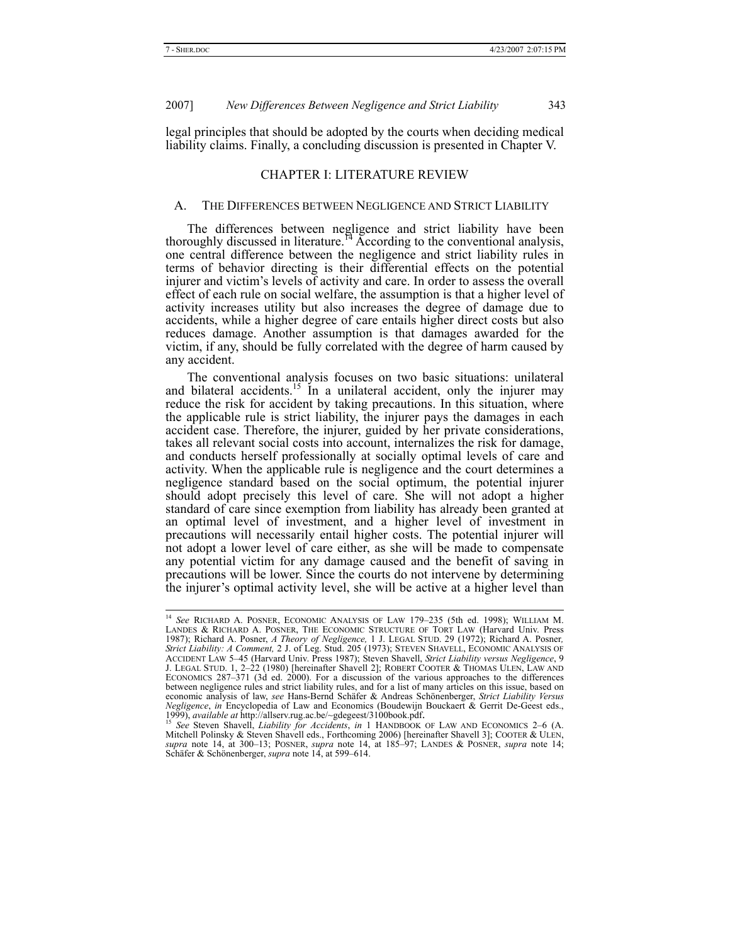legal principles that should be adopted by the courts when deciding medical liability claims. Finally, a concluding discussion is presented in Chapter V.

# CHAPTER I: LITERATURE REVIEW

#### A. THE DIFFERENCES BETWEEN NEGLIGENCE AND STRICT LIABILITY

The differences between negligence and strict liability have been thoroughly discussed in literature.<sup>14</sup> According to the conventional analysis, one central difference between the negligence and strict liability rules in terms of behavior directing is their differential effects on the potential injurer and victim's levels of activity and care. In order to assess the overall effect of each rule on social welfare, the assumption is that a higher level of activity increases utility but also increases the degree of damage due to accidents, while a higher degree of care entails higher direct costs but also reduces damage. Another assumption is that damages awarded for the victim, if any, should be fully correlated with the degree of harm caused by any accident.

The conventional analysis focuses on two basic situations: unilateral and bilateral accidents.<sup>15</sup> In a unilateral accident, only the injurer may reduce the risk for accident by taking precautions. In this situation, where the applicable rule is strict liability, the injurer pays the damages in each accident case. Therefore, the injurer, guided by her private considerations, takes all relevant social costs into account, internalizes the risk for damage, and conducts herself professionally at socially optimal levels of care and activity. When the applicable rule is negligence and the court determines a negligence standard based on the social optimum, the potential injurer should adopt precisely this level of care. She will not adopt a higher standard of care since exemption from liability has already been granted at an optimal level of investment, and a higher level of investment in precautions will necessarily entail higher costs. The potential injurer will not adopt a lower level of care either, as she will be made to compensate any potential victim for any damage caused and the benefit of saving in precautions will be lower. Since the courts do not intervene by determining the injurer's optimal activity level, she will be active at a higher level than

 <sup>14</sup> *See* RICHARD A. POSNER, ECONOMIC ANALYSIS OF LAW 179–235 (5th ed. 1998); WILLIAM M. LANDES & RICHARD A. POSNER, THE ECONOMIC STRUCTURE OF TORT LAW (Harvard Univ. Press 1987); Richard A. Posner, *A Theory of Negligence,* 1 J. LEGAL STUD. 29 (1972); Richard A. Posner*, Strict Liability: A Comment,* 2 J. of Leg. Stud. 205 (1973); STEVEN SHAVELL, ECONOMIC ANALYSIS OF ACCIDENT LAW 5–45 (Harvard Univ. Press 1987); Steven Shavell, *Strict Liability versus Negligence*, 9 J. LEGAL STUD. 1, 2–22 (1980) [hereinafter Shavell 2]; ROBERT COOTER & THOMAS ULEN, LAW AND ECONOMICS 287–371 (3d ed. 2000). For a discussion of the various approaches to the differences between negligence rules and strict liability rules, and for a list of many articles on this issue, based on economic analysis of law, *see* Hans-Bernd Schäfer & Andreas Schönenberger, *Strict Liability Versus Negligence*, *in* Encyclopedia of Law and Economics (Boudewijn Bouckaert & Gerrit De-Geest eds.,

<sup>1999),</sup> *available at* http://allserv.rug.ac.be/~gdegeest/3100book.pdf.<br><sup>15</sup> See Steven Shavell, *Liability for Accidents*, *in* 1 HANDBOOK OF LAW AND ECONOMICS 2–6 (A.<br>Mitchell Polinsky & Steven Shavell eds., Forthcoming 2 *supra* note 14, at 300–13; POSNER, *supra* note 14, at 185–97; LANDES & POSNER, *supra* note 14; Schäfer & Schönenberger, *supra* note 14, at 599–614.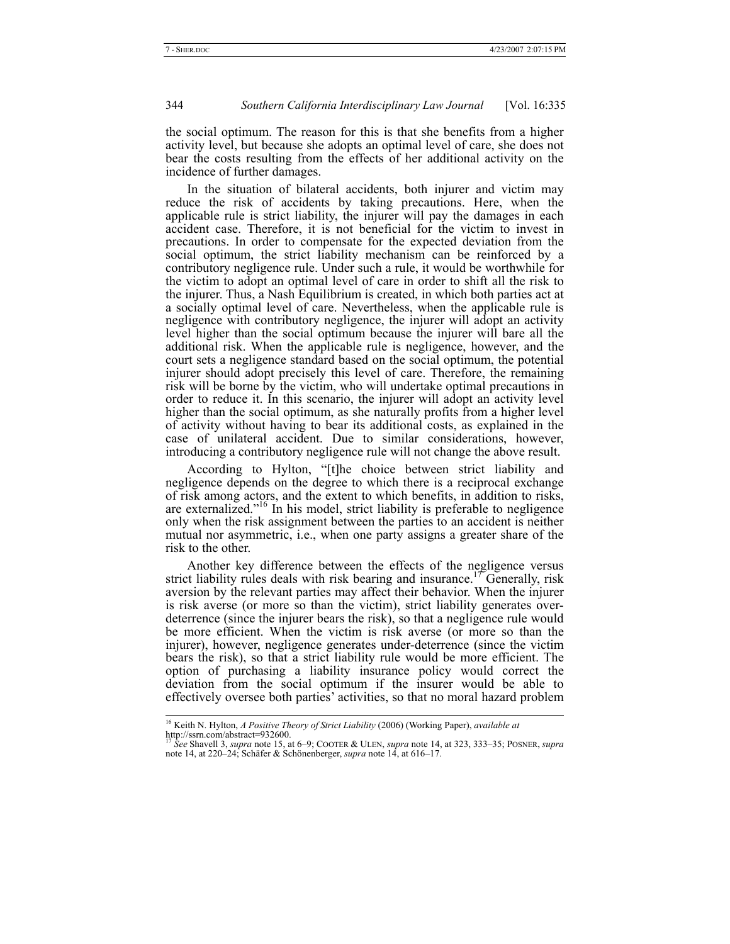the social optimum. The reason for this is that she benefits from a higher activity level, but because she adopts an optimal level of care, she does not bear the costs resulting from the effects of her additional activity on the incidence of further damages.

In the situation of bilateral accidents, both injurer and victim may reduce the risk of accidents by taking precautions. Here, when the applicable rule is strict liability, the injurer will pay the damages in each accident case. Therefore, it is not beneficial for the victim to invest in precautions. In order to compensate for the expected deviation from the social optimum, the strict liability mechanism can be reinforced by a contributory negligence rule. Under such a rule, it would be worthwhile for the victim to adopt an optimal level of care in order to shift all the risk to the injurer. Thus, a Nash Equilibrium is created, in which both parties act at a socially optimal level of care. Nevertheless, when the applicable rule is negligence with contributory negligence, the injurer will adopt an activity level higher than the social optimum because the injurer will bare all the additional risk. When the applicable rule is negligence, however, and the court sets a negligence standard based on the social optimum, the potential injurer should adopt precisely this level of care. Therefore, the remaining risk will be borne by the victim, who will undertake optimal precautions in order to reduce it. In this scenario, the injurer will adopt an activity level higher than the social optimum, as she naturally profits from a higher level of activity without having to bear its additional costs, as explained in the case of unilateral accident. Due to similar considerations, however, introducing a contributory negligence rule will not change the above result.

According to Hylton, "[t]he choice between strict liability and negligence depends on the degree to which there is a reciprocal exchange of risk among actors, and the extent to which benefits, in addition to risks, are externalized."16 In his model, strict liability is preferable to negligence only when the risk assignment between the parties to an accident is neither mutual nor asymmetric, i.e., when one party assigns a greater share of the risk to the other.

Another key difference between the effects of the negligence versus strict liability rules deals with risk bearing and insurance.<sup>17</sup> Generally, risk aversion by the relevant parties may affect their behavior. When the injurer is risk averse (or more so than the victim), strict liability generates overdeterrence (since the injurer bears the risk), so that a negligence rule would be more efficient. When the victim is risk averse (or more so than the injurer), however, negligence generates under-deterrence (since the victim bears the risk), so that a strict liability rule would be more efficient. The option of purchasing a liability insurance policy would correct the deviation from the social optimum if the insurer would be able to effectively oversee both parties' activities, so that no moral hazard problem

<sup>&</sup>lt;sup>16</sup> Keith N. Hylton, *A Positive Theory of Strict Liability* (2006) (Working Paper), *available at* 

<sup>17</sup> *See* Shavell 3, *supra* note 15, at 6–9; COOTER & ULEN, *supra* note 14, at 323, 333–35; POSNER, *supra* note 14, at 220–24; Schäfer & Schönenberger, *supra* note 14, at 616–17.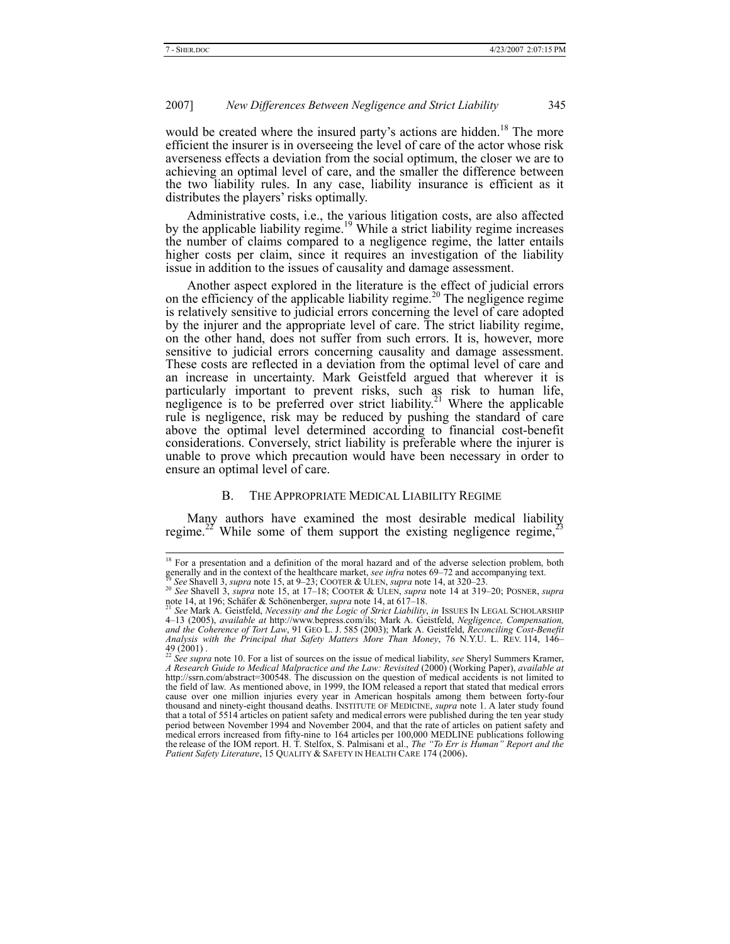would be created where the insured party's actions are hidden.<sup>18</sup> The more efficient the insurer is in overseeing the level of care of the actor whose risk averseness effects a deviation from the social optimum, the closer we are to achieving an optimal level of care, and the smaller the difference between the two liability rules. In any case, liability insurance is efficient as it distributes the players' risks optimally.

Administrative costs, i.e., the various litigation costs, are also affected by the applicable liability regime.<sup>19</sup> While a strict liability regime increases the number of claims compared to a negligence regime, the latter entails higher costs per claim, since it requires an investigation of the liability issue in addition to the issues of causality and damage assessment.

Another aspect explored in the literature is the effect of judicial errors on the efficiency of the applicable liability regime.<sup>20</sup> The negligence regime is relatively sensitive to judicial errors concerning the level of care adopted by the injurer and the appropriate level of care. The strict liability regime, on the other hand, does not suffer from such errors. It is, however, more sensitive to judicial errors concerning causality and damage assessment. These costs are reflected in a deviation from the optimal level of care and an increase in uncertainty. Mark Geistfeld argued that wherever it is particularly important to prevent risks, such as risk to human life, negligence is to be preferred over strict liability.<sup>21</sup> Where the applicable rule is negligence, risk may be reduced by pushing the standard of care above the optimal level determined according to financial cost-benefit considerations. Conversely, strict liability is preferable where the injurer is unable to prove which precaution would have been necessary in order to ensure an optimal level of care.

### B. THE APPROPRIATE MEDICAL LIABILITY REGIME

Many authors have examined the most desirable medical liability regime.<sup>22</sup> While some of them support the existing negligence regime,<sup>2</sup>

<sup>&</sup>lt;sup>18</sup> For a presentation and a definition of the moral hazard and of the adverse selection problem, both generally and in the context of the healthcare market, *see infra* notes 69–72 and accompanying text.

Become and the second of the state of the contract of the See Shavell 3, supra note 15, at 9–23; COOTER & ULEN, supra note 14, at 320–23.<br><sup>20</sup> See Shavell 3, supra note 15, at 17–18; COOTER & ULEN, supra note 14 at 319–20

See Mark A. Geistfeld, *Necessity and the Logic of Strict Liability*, *in* ISSUES IN LEGAL SCHOLARSHIP 4–13 (2005), *available at* http://www.bepress.com/ils; Mark A. Geistfeld, *Negligence, Compensation, and the Coherence of Tort Law*, 91 GEO L. J. 585 (2003); Mark A. Geistfeld, *Reconciling Cost-Benefit Analysis with the Principal that Safety Matters More Than Money*, 76 N.Y.U. L. REV. 114, 146– 49 (2001) . <sup>22</sup> *See supra* note 10. For a list of sources on the issue of medical liability, *see* Sheryl Summers Kramer,

*A Research Guide to Medical Malpractice and the Law: Revisited* (2000) (Working Paper), *available at* http://ssrn.com/abstract=300548. The discussion on the question of medical accidents is not limited to the field of law. As mentioned above, in 1999, the IOM released a report that stated that medical errors cause over one million injuries every year in American hospitals among them between forty-four thousand and ninety-eight thousand deaths. INSTITUTE OF MEDICINE, *supra* note 1. A later study found that a total of 5514 articles on patient safety and medical errors were published during the ten year study period between November 1994 and November 2004, and that the rate of articles on patient safety and medical errors increased from fifty-nine to 164 articles per 100,000 MEDLINE publications following the release of the IOM report. H. T. Stelfox, S. Palmisani et al., *The "To Err is Human" Report and the Patient Safety Literature*, 15 QUALITY & SAFETY IN HEALTH CARE 174 (2006).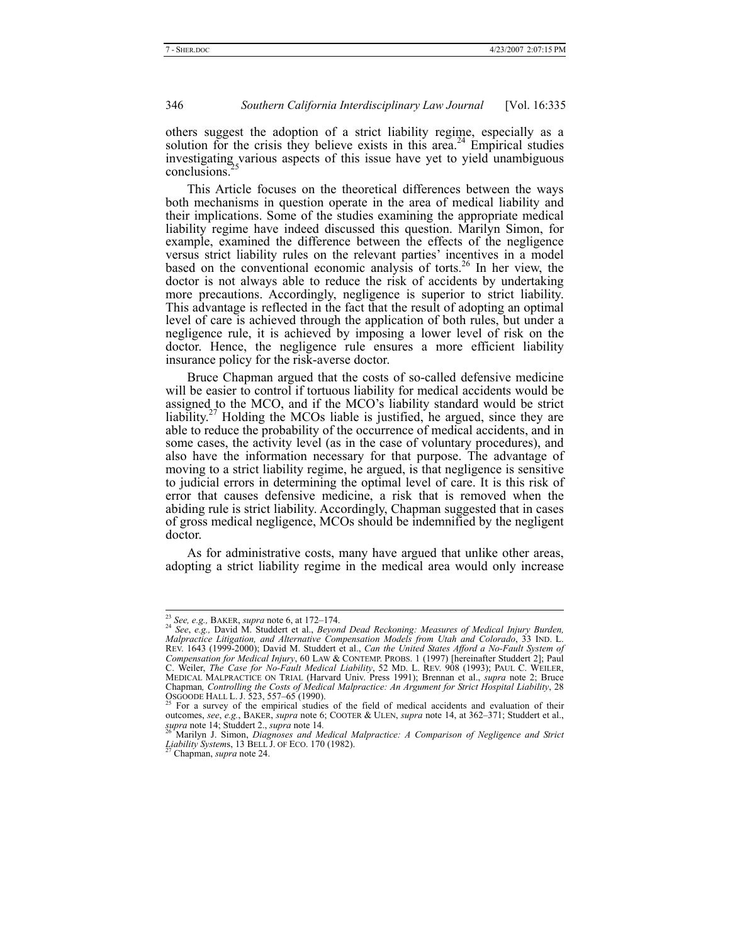others suggest the adoption of a strict liability regime, especially as a solution for the crisis they believe exists in this area.<sup>24</sup> Empirical studies investigating various aspects of this issue have yet to yield unambiguous conclusions.

This Article focuses on the theoretical differences between the ways both mechanisms in question operate in the area of medical liability and their implications. Some of the studies examining the appropriate medical liability regime have indeed discussed this question. Marilyn Simon, for example, examined the difference between the effects of the negligence versus strict liability rules on the relevant parties' incentives in a model based on the conventional economic analysis of torts.<sup>26</sup> In her view, the doctor is not always able to reduce the risk of accidents by undertaking more precautions. Accordingly, negligence is superior to strict liability. This advantage is reflected in the fact that the result of adopting an optimal level of care is achieved through the application of both rules, but under a negligence rule, it is achieved by imposing a lower level of risk on the doctor. Hence, the negligence rule ensures a more efficient liability insurance policy for the risk-averse doctor.

Bruce Chapman argued that the costs of so-called defensive medicine will be easier to control if tortuous liability for medical accidents would be assigned to the MCO, and if the MCO's liability standard would be strict liability.<sup>27</sup> Holding the MCOs liable is justified, he argued, since they are able to reduce the probability of the occurrence of medical accidents, and in some cases, the activity level (as in the case of voluntary procedures), and also have the information necessary for that purpose. The advantage of moving to a strict liability regime, he argued, is that negligence is sensitive to judicial errors in determining the optimal level of care. It is this risk of error that causes defensive medicine, a risk that is removed when the abiding rule is strict liability. Accordingly, Chapman suggested that in cases of gross medical negligence, MCOs should be indemnified by the negligent doctor.

As for administrative costs, many have argued that unlike other areas, adopting a strict liability regime in the medical area would only increase

<sup>23</sup> *See, e.g.,* BAKER, *supra* note 6, at 172–174. 24 *See*, *e.g.,* David M. Studdert et al., *Beyond Dead Reckoning: Measures of Medical Injury Burden, Malpractice Litigation, and Alternative Compensation Models from Utah and Colorado*, 33 IND. L. REV. 1643 (1999-2000); David M. Studdert et al., *Can the United States Afford a No-Fault System of Compensation for Medical Injury*, 60 LAW & CONTEMP. PROBS. 1 (1997) [hereinafter Studdert 2]; Paul C. Weiler, *The Case for No-Fault Medical Liability*, 52 MD. L. REV. 908 (1993); PAUL C. WEILER, MEDICAL MALPRACTICE ON TRIAL (Harvard Univ. Press 1991); Brennan et al., *supra* note 2; Bruce MEDICAL MALPRACTICE ON TRIAL (Harvard Univ. Press 1991); Brennan et al., *supra* note 2; Bruce Chapman, *Controlling the Costs of Medical Malpractice: An Argument for Strict Hospital Liability*, 28<br>OSGOODE HALL L. J. 523, 557–65 (1990).<br><sup>25</sup> For a survey of the empirical studies of the field of medical accidents and

<sup>&</sup>lt;sup>25</sup> For a survey of the empirical studies of the field of medical accidents and evaluation of their outcomes, *see*, *e.g.*, BAKER, *supra* note 6; COOTER & ULEN, *supra* note 14, at 362–371; Studdert et al., *supra* not

*supra* note 14; Studdert 2., *supra* note 14*.* 26 Marilyn J. Simon, *Diagnoses and Medical Malpractice: A Comparison of Negligence and Strict Liability System*s, 13 BELL J. OF ECO. 170 (1982). 27 Chapman, *supra* note 24.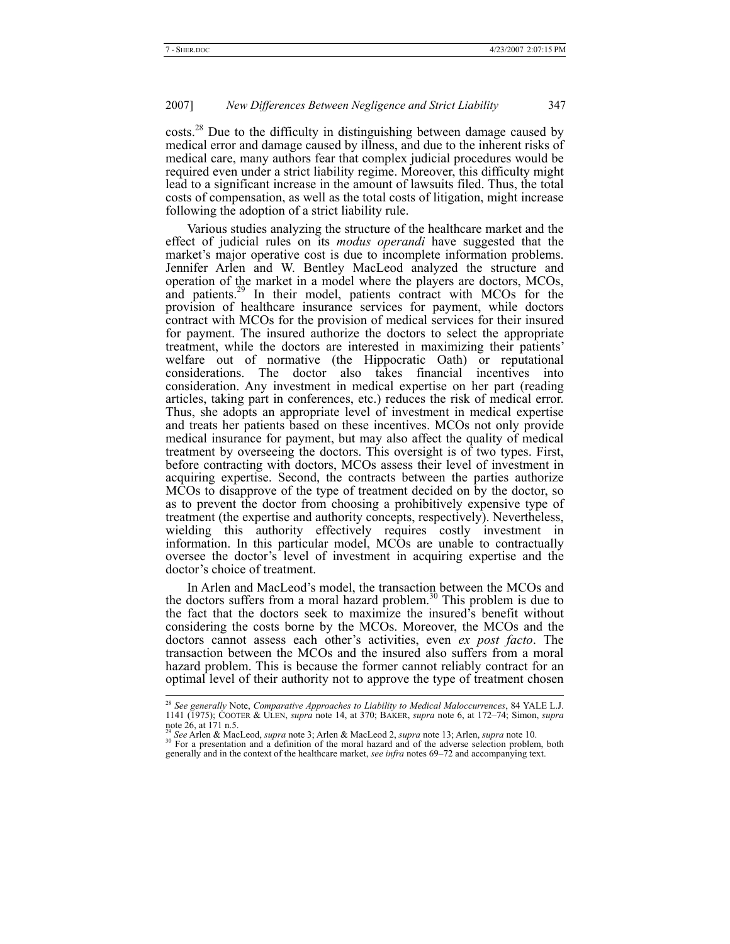$\text{costs}^{28}$  Due to the difficulty in distinguishing between damage caused by medical error and damage caused by illness, and due to the inherent risks of medical care, many authors fear that complex judicial procedures would be required even under a strict liability regime. Moreover, this difficulty might lead to a significant increase in the amount of lawsuits filed. Thus, the total costs of compensation, as well as the total costs of litigation, might increase following the adoption of a strict liability rule.

Various studies analyzing the structure of the healthcare market and the effect of judicial rules on its *modus operandi* have suggested that the market's major operative cost is due to incomplete information problems. Jennifer Arlen and W. Bentley MacLeod analyzed the structure and operation of the market in a model where the players are doctors, MCOs, and patients.<sup>29</sup> In their model, patients contract with MCOs for the provision of healthcare insurance services for payment, while doctors contract with MCOs for the provision of medical services for their insured for payment. The insured authorize the doctors to select the appropriate treatment, while the doctors are interested in maximizing their patients' welfare out of normative (the Hippocratic Oath) or reputational considerations. The doctor also takes financial incentives into consideration. Any investment in medical expertise on her part (reading articles, taking part in conferences, etc.) reduces the risk of medical error. Thus, she adopts an appropriate level of investment in medical expertise and treats her patients based on these incentives. MCOs not only provide medical insurance for payment, but may also affect the quality of medical treatment by overseeing the doctors. This oversight is of two types. First, before contracting with doctors, MCOs assess their level of investment in acquiring expertise. Second, the contracts between the parties authorize MCOs to disapprove of the type of treatment decided on by the doctor, so as to prevent the doctor from choosing a prohibitively expensive type of treatment (the expertise and authority concepts, respectively). Nevertheless, wielding this authority effectively requires costly investment in information. In this particular model, MCOs are unable to contractually oversee the doctor's level of investment in acquiring expertise and the doctor's choice of treatment.

In Arlen and MacLeod's model, the transaction between the MCOs and the doctors suffers from a moral hazard problem.<sup>30</sup> This problem is due to the fact that the doctors seek to maximize the insured's benefit without considering the costs borne by the MCOs. Moreover, the MCOs and the doctors cannot assess each other's activities, even *ex post facto*. The transaction between the MCOs and the insured also suffers from a moral hazard problem. This is because the former cannot reliably contract for an optimal level of their authority not to approve the type of treatment chosen

 <sup>28</sup> *See generally* Note, *Comparative Approaches to Liability to Medical Maloccurrences*, 84 YALE L.J. 1141 (1975); COOTER & ULEN, *supra* note 14, at 370; BAKER, *supra* note 6, at 172–74; Simon, *supra* note 26, at 171 n.5.<br><sup>29</sup> See Arlen & MacLeod, *supra* note 3; Arlen & MacLeod 2, *supra* note 13; Arlen, *supra* note 10.

<sup>&</sup>lt;sup>30</sup> For a presentation and a definition of the moral hazard and of the adverse selection problem, both generally and in the context of the healthcare market, *see infra* notes 69–72 and accompanying text.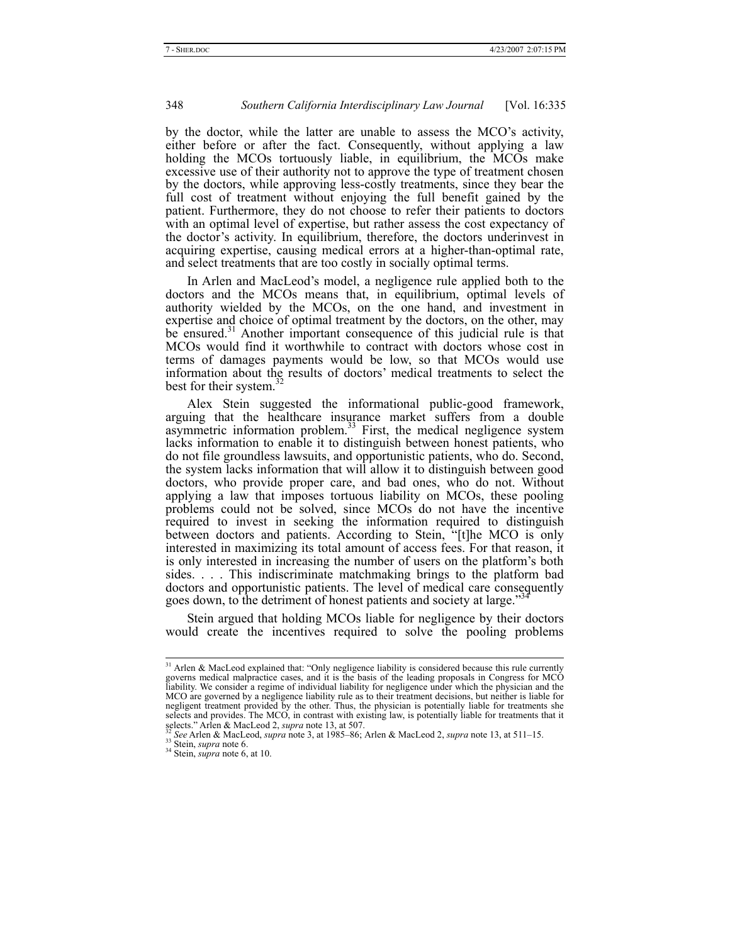by the doctor, while the latter are unable to assess the MCO's activity, either before or after the fact. Consequently, without applying a law holding the MCOs tortuously liable, in equilibrium, the MCOs make excessive use of their authority not to approve the type of treatment chosen by the doctors, while approving less-costly treatments, since they bear the full cost of treatment without enjoying the full benefit gained by the patient. Furthermore, they do not choose to refer their patients to doctors with an optimal level of expertise, but rather assess the cost expectancy of the doctor's activity. In equilibrium, therefore, the doctors underinvest in acquiring expertise, causing medical errors at a higher-than-optimal rate, and select treatments that are too costly in socially optimal terms.

In Arlen and MacLeod's model, a negligence rule applied both to the doctors and the MCOs means that, in equilibrium, optimal levels of authority wielded by the MCOs, on the one hand, and investment in expertise and choice of optimal treatment by the doctors, on the other, may be ensured.<sup>31</sup> Another important consequence of this judicial rule is that MCOs would find it worthwhile to contract with doctors whose cost in terms of damages payments would be low, so that MCOs would use information about the results of doctors' medical treatments to select the best for their system. $32$ 

Alex Stein suggested the informational public-good framework, arguing that the healthcare insurance market suffers from a double asymmetric information problem. $^{33}$  First, the medical negligence system lacks information to enable it to distinguish between honest patients, who do not file groundless lawsuits, and opportunistic patients, who do. Second, the system lacks information that will allow it to distinguish between good doctors, who provide proper care, and bad ones, who do not. Without applying a law that imposes tortuous liability on MCOs, these pooling problems could not be solved, since MCOs do not have the incentive required to invest in seeking the information required to distinguish between doctors and patients. According to Stein, "[t]he MCO is only interested in maximizing its total amount of access fees. For that reason, it is only interested in increasing the number of users on the platform's both sides. . . . This indiscriminate matchmaking brings to the platform bad doctors and opportunistic patients. The level of medical care consequently goes down, to the detriment of honest patients and society at large."

Stein argued that holding MCOs liable for negligence by their doctors would create the incentives required to solve the pooling problems

<sup>&</sup>lt;sup>31</sup> Arlen & MacLeod explained that: "Only negligence liability is considered because this rule currently governs medical malpractice cases, and it is the basis of the leading proposals in Congress for MCO liability. We consider a regime of individual liability for negligence under which the physician and the MCO are governed by a negligence liability rule as to their treatment decisions, but neither is liable for negligent treatment provided by the other. Thus, the physician is potentially liable for treatments she selects and provides. The MCO, in contrast with existing law, is potentially liable for treatments that it

selects." Arlen & MacLeod 2, *supra* note 13, at 507.<br><sup>32</sup> See Arlen & MacLeod, *supra* note 3, at 1985–86; Arlen & MacLeod 2, *supra* note 13, at 511–15.<br><sup>33</sup> Stein, *supra* note 6.<br><sup>34</sup> Stein, *supra* note 6, at 10.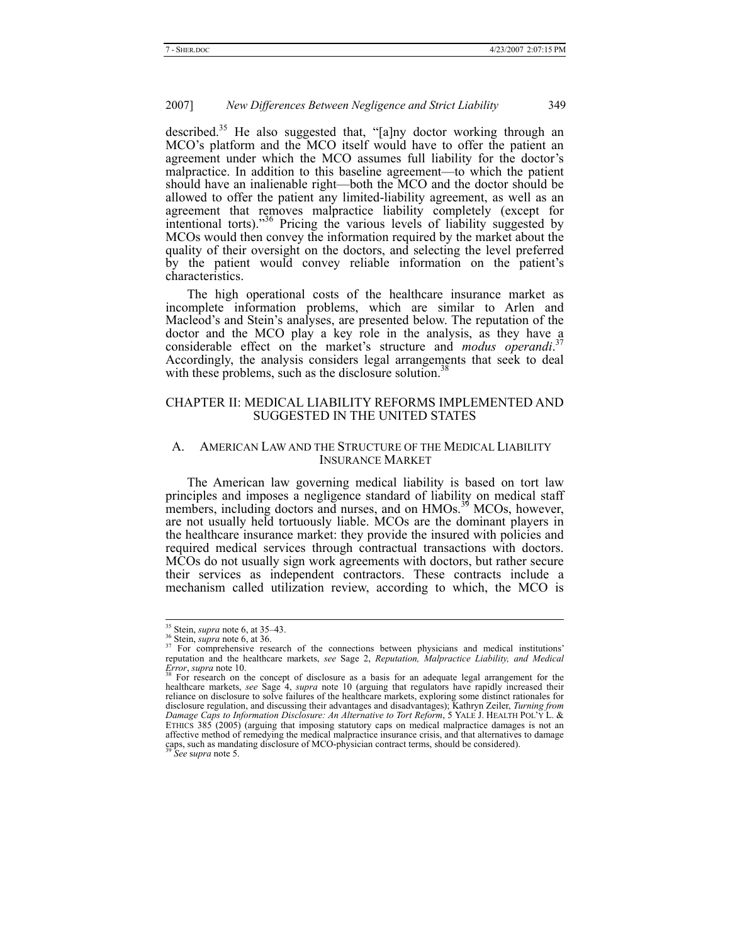described.<sup>35</sup> He also suggested that, "[a]ny doctor working through an MCO's platform and the MCO itself would have to offer the patient an agreement under which the MCO assumes full liability for the doctor's malpractice. In addition to this baseline agreement—to which the patient should have an inalienable right—both the MCO and the doctor should be allowed to offer the patient any limited-liability agreement, as well as an agreement that removes malpractice liability completely (except for intentional torts)."<sup>36</sup> Pricing the various levels of liability suggested by MCOs would then convey the information required by the market about the quality of their oversight on the doctors, and selecting the level preferred by the patient would convey reliable information on the patient's characteristics.

The high operational costs of the healthcare insurance market as incomplete information problems, which are similar to Arlen and Macleod's and Stein's analyses, are presented below. The reputation of the doctor and the MCO play a key role in the analysis, as they have a considerable effect on the market's structure and *modus operandi*. 37 Accordingly, the analysis considers legal arrangements that seek to deal with these problems, such as the disclosure solution.<sup>38</sup>

# CHAPTER II: MEDICAL LIABILITY REFORMS IMPLEMENTED AND SUGGESTED IN THE UNITED STATES

#### A. AMERICAN LAW AND THE STRUCTURE OF THE MEDICAL LIABILITY INSURANCE MARKET

The American law governing medical liability is based on tort law principles and imposes a negligence standard of liability on medical staff members, including doctors and nurses, and on HMOs.<sup>39</sup> MCOs, however, are not usually held tortuously liable. MCOs are the dominant players in the healthcare insurance market: they provide the insured with policies and required medical services through contractual transactions with doctors. MCOs do not usually sign work agreements with doctors, but rather secure their services as independent contractors. These contracts include a mechanism called utilization review, according to which, the MCO is

<sup>&</sup>lt;sup>35</sup> Stein, *supra* note 6, at 35–43.<br><sup>36</sup> Stein, *supra* note 6, at 36. 37 For comprehensive research of the connections between physicians and medical institutions' reputation and the healthcare markets, *see* Sage 2, *Reputation, Malpractice Liability, and Medical Error*, *supra* note 10. *S8* For research on the concept of disclosure as a basis for an adequate legal arrangement for the

healthcare markets, *see* Sage 4, *supra* note 10 (arguing that regulators have rapidly increased their reliance on disclosure to solve failures of the healthcare markets, exploring some distinct rationales for disclosure regulation, and discussing their advantages and disadvantages); Kathryn Zeiler, *Turning from Damage Caps to Information Disclosure: An Alternative to Tort Reform*, 5 YALE J. HEALTH POL'Y L. & ETHICS 385 (2005) (arguing that imposing statutory caps on medical malpractice damages is not an affective method of remedying the medical malpractice insurance crisis, and that alternatives to damage caps, such as mandating disclosure of MCO-physician contract terms, should be considered). 39 *See* s*upra* note 5.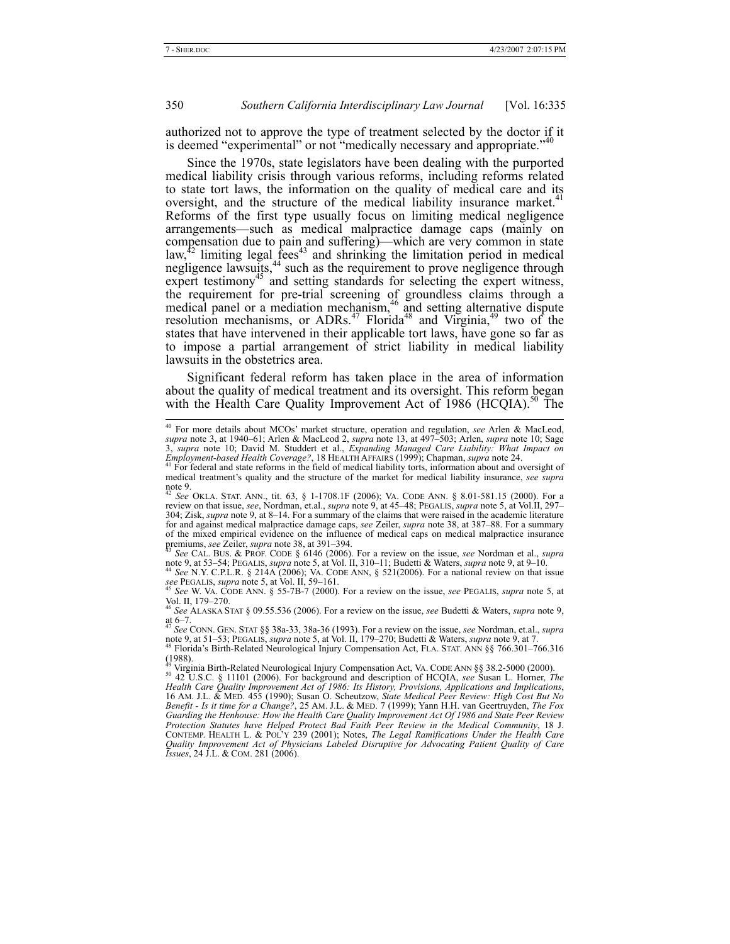authorized not to approve the type of treatment selected by the doctor if it is deemed "experimental" or not "medically necessary and appropriate."<sup>40</sup>

Since the 1970s, state legislators have been dealing with the purported medical liability crisis through various reforms, including reforms related to state tort laws, the information on the quality of medical care and its oversight, and the structure of the medical liability insurance market.<sup>4</sup> Reforms of the first type usually focus on limiting medical negligence arrangements—such as medical malpractice damage caps (mainly on compensation due to pain and suffering)—which are very common in state law,<sup>42</sup> limiting legal fees<sup>43</sup> and shrinking the limitation period in medical negligence lawsuits,<sup>44</sup> such as the requirement to prove negligence through expert testimony<sup>45</sup> and setting standards for selecting the expert witness, the requirement for pre-trial screening of groundless claims through a medical panel or a mediation mechanism, $46$  and setting alternative dispute resolution mechanisms, or ADRs.<sup>47</sup> Florida<sup>48</sup> and Virginia,<sup>49</sup> two of the states that have intervened in their applicable tort laws, have gone so far as to impose a partial arrangement of strict liability in medical liability lawsuits in the obstetrics area.

Significant federal reform has taken place in the area of information about the quality of medical treatment and its oversight. This reform began with the Health Care Quality Improvement Act of 1986 (HCQIA).<sup>50</sup> The

note 9, at 53–54; PEGALIS, *supra* note 5, at Vol. II, 310–11; Budetti & Waters, *supra* note 9, at 9–10. 44 *See* N.Y. C.P.L.R. § 214A (2006); VA. CODE ANN, § 521(2006). For a national review on that issue

*see* PEGALIS, *supra* note 5, at Vol. II, 59–161.  $\frac{1}{2}$  See *See W. VA. Code ANN.* § 55-7B-7 (2000). For a review on the issue, *see* PEGALIS, *supra* note 5, at

Vol. II, 179–270.

<sup>46</sup> *See* ALASKA STAT § 09.55.536 (2006). For a review on the issue, *see* Budetti & Waters, *supra* note 9, at  $6-7$ .

<sup>47</sup> *See* CONN. GEN. STAT §§ 38a-33, 38a-36 (1993). For a review on the issue, *see* Nordman, et.al., *supra* note 9, at 51–53; PEGALIS, *supra* note 5, at Vol. II, 179–270; Budetti & Waters, *supra* note 9, at 7.<br><sup>48</sup> Florida's Birth-Related Neurological Injury Compensation Act, FLA. STAT. ANN §§ 766.301–766.316<sup>48</sup>

 $(1988)$ .

49 Virginia Birth-Related Neurological Injury Compensation Act, VA. CODE ANN §§ 38.2-5000 (2000). 50 42 U.S.C. § 11101 (2006). For background and description of HCQIA, *see* Susan L. Horner, *The*  Health Care Quality Improvement Act of 1986: Its History, Provisions, Applications and Implications,<br>16 AM. J.L. & MED. 455 (1990); Susan O. Scheutzow, State Medical Peer Review: High Cost But No<br>Benefit - Is it time for a *Guarding the Henhouse: How the Health Care Quality Improvement Act Of 1986 and State Peer Review Protection Statutes have Helped Protect Bad Faith Peer Review in the Medical Community*, 18 J. CONTEMP. HEALTH L. & POL'Y 239 (2001); Notes, *The Legal Ramifications Under the Health Care Quality Improvement Act of Physicians Labeled Disruptive for Advocating Patient Quality of Care Issues*, 24 J.L. & COM. 281 (2006).

 <sup>40</sup> For more details about MCOs' market structure, operation and regulation, *see* Arlen & MacLeod, supra note 3, at 1940–61; Arlen & MacLeod 2, supra note 13, at 497–503; Arlen, supra note 10; Sage<br>3, supra note 10; David M. Studdert et al., Expanding Managed Care Liability: What Impact on

*Employment-based Health Coverage?*, 18 HEALTH AFFAIRS (1999); Chapman, *supra* note 24. 41 For federal and state reforms in the field of medical liability torts, information about and oversight of medical treatment's quality and the structure of the market for medical liability insurance, *see supra* note 9.

<sup>42</sup> *See* OKLA. STAT. ANN., tit. 63, § 1-1708.1F (2006); VA. CODE ANN. § 8.01-581.15 (2000). For a review on that issue, *see*, Nordman, et.al., *supra* note 9, at 45–48; PEGALIS, *supra* note 5, at Vol.II, 297– 304; Zisk, *supra* note 9, at 8–14. For a summary of the claims that were raised in the academic literature for and against medical malpractice damage caps, *see* Zeiler, *supra* note 38, at 387–88. For a summary of the mixed empirical evidence on the influence of medical caps on medical malpractice insurance<br>premiums, see Zeiler, supra note 38, at  $391-394$ . premiums, *see* Zeiler, *supra* note 38, at 391–394. 43 *See* CAL. BUS. & PROF. CODE § 6146 (2006). For a review on the issue, *see* Nordman et al., *supra*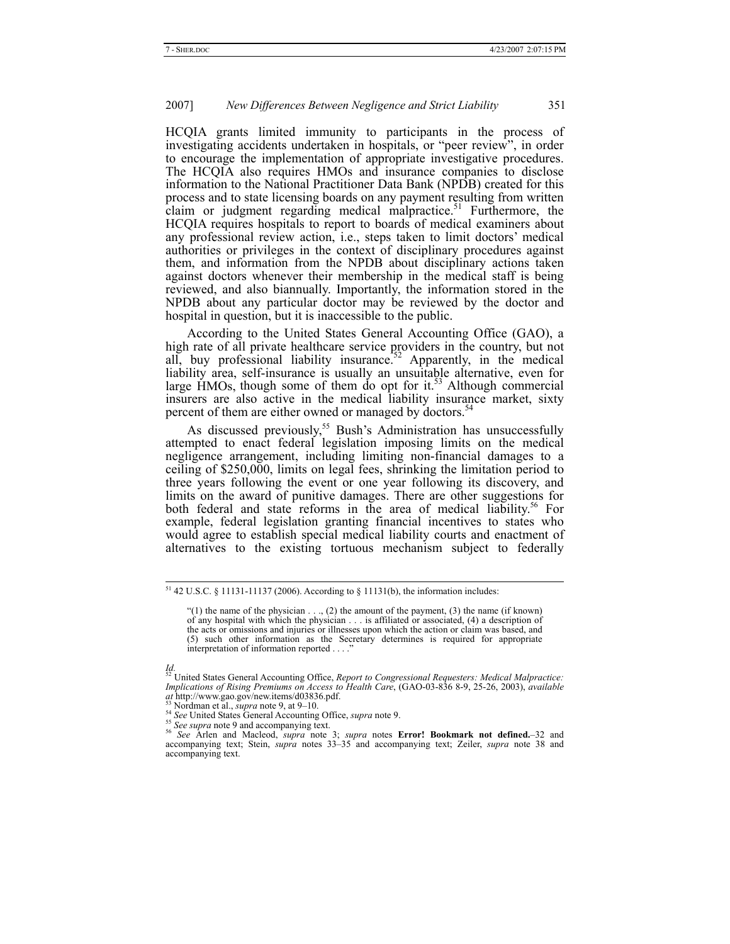HCQIA grants limited immunity to participants in the process of investigating accidents undertaken in hospitals, or "peer review", in order to encourage the implementation of appropriate investigative procedures. The HCQIA also requires HMOs and insurance companies to disclose information to the National Practitioner Data Bank (NPDB) created for this process and to state licensing boards on any payment resulting from written claim or judgment regarding medical malpractice. $51$  Furthermore, the HCQIA requires hospitals to report to boards of medical examiners about any professional review action, i.e., steps taken to limit doctors' medical authorities or privileges in the context of disciplinary procedures against them, and information from the NPDB about disciplinary actions taken against doctors whenever their membership in the medical staff is being reviewed, and also biannually. Importantly, the information stored in the NPDB about any particular doctor may be reviewed by the doctor and hospital in question, but it is inaccessible to the public.

According to the United States General Accounting Office (GAO), a high rate of all private healthcare service providers in the country, but not all, buy professional liability insurance.<sup>52</sup> Apparently, in the medical liability area, self-insurance is usually an unsuitable alternative, even for large HMOs, though some of them do opt for it.<sup>53</sup> Although commercial insurers are also active in the medical liability insurance market, sixty percent of them are either owned or managed by doctors.<sup>5</sup>

As discussed previously,<sup>55</sup> Bush's Administration has unsuccessfully attempted to enact federal legislation imposing limits on the medical negligence arrangement, including limiting non-financial damages to a ceiling of \$250,000, limits on legal fees, shrinking the limitation period to three years following the event or one year following its discovery, and limits on the award of punitive damages. There are other suggestions for both federal and state reforms in the area of medical liability.<sup>56</sup> For example, federal legislation granting financial incentives to states who would agree to establish special medical liability courts and enactment of alternatives to the existing tortuous mechanism subject to federally

 $51$  42 U.S.C. § 11131-11137 (2006). According to § 11131(b), the information includes:

<sup>&</sup>quot;(1) the name of the physician . . ., (2) the amount of the payment, (3) the name (if known) of any hospital with which the physician . . . is affiliated or associated, (4) a description of the acts or omissions and injuries or illnesses upon which the action or claim was based, and (5) such other information as the Secretary determines is required for appropriate interpretation of information reported  $\ldots$ 

*Id.*  52 United States General Accounting Office, *Report to Congressional Requesters: Medical Malpractice: Implications of Rising Premiums on Access to Health Care*, (GAO-03-836 8-9, 25-26, 2003), *available* 

<sup>&</sup>lt;sup>53</sup> Nordman et al., *supra* note 9, at 9–10.<br><sup>54</sup> See United States General Accounting Office, *supra* note 9.<br><sup>55</sup> See supra note 9 and accompanying text.<br><sup>56</sup> See Arlen and Macleod, *supra* note 3; *supra* notes **Error** accompanying text; Stein, *supra* notes 33–35 and accompanying text; Zeiler, *supra* note 38 and accompanying text.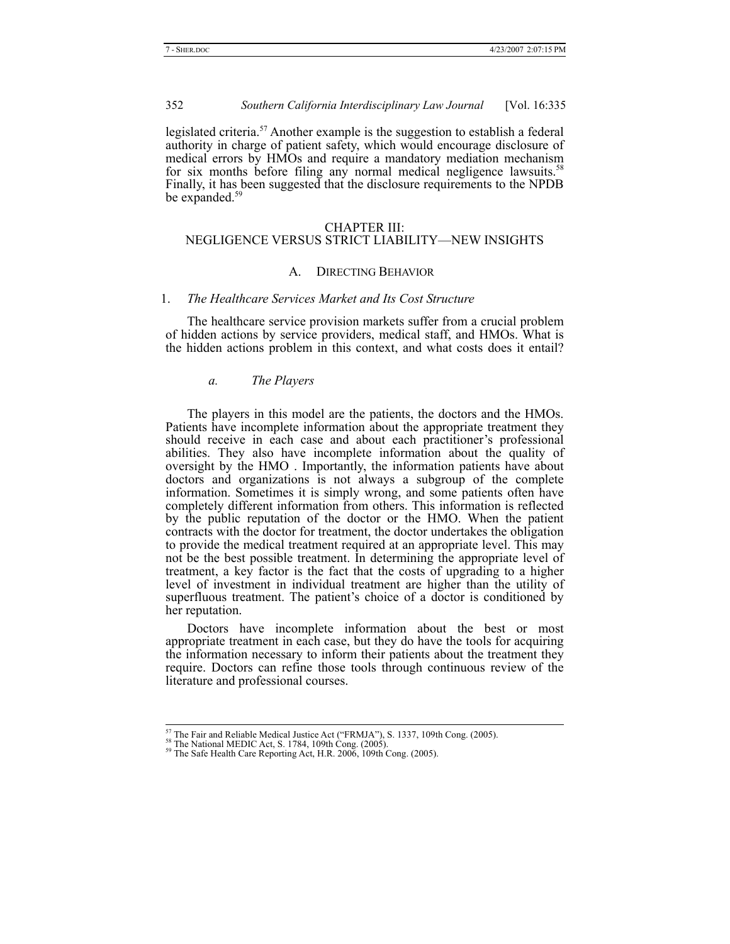legislated criteria.<sup>57</sup> Another example is the suggestion to establish a federal authority in charge of patient safety, which would encourage disclosure of medical errors by HMOs and require a mandatory mediation mechanism for six months before filing any normal medical negligence lawsuits.<sup>58</sup> Finally, it has been suggested that the disclosure requirements to the NPDB be expanded.<sup>59</sup>

#### CHAPTER III:

# NEGLIGENCE VERSUS STRICT LIABILITY—NEW INSIGHTS

#### A. DIRECTING BEHAVIOR

#### 1. *The Healthcare Services Market and Its Cost Structure*

The healthcare service provision markets suffer from a crucial problem of hidden actions by service providers, medical staff, and HMOs. What is the hidden actions problem in this context, and what costs does it entail?

#### *a. The Players*

The players in this model are the patients, the doctors and the HMOs. Patients have incomplete information about the appropriate treatment they should receive in each case and about each practitioner's professional abilities. They also have incomplete information about the quality of oversight by the HMO . Importantly, the information patients have about doctors and organizations is not always a subgroup of the complete information. Sometimes it is simply wrong, and some patients often have completely different information from others. This information is reflected by the public reputation of the doctor or the HMO. When the patient contracts with the doctor for treatment, the doctor undertakes the obligation to provide the medical treatment required at an appropriate level. This may not be the best possible treatment. In determining the appropriate level of treatment, a key factor is the fact that the costs of upgrading to a higher level of investment in individual treatment are higher than the utility of superfluous treatment. The patient's choice of a doctor is conditioned by her reputation.

Doctors have incomplete information about the best or most appropriate treatment in each case, but they do have the tools for acquiring the information necessary to inform their patients about the treatment they require. Doctors can refine those tools through continuous review of the literature and professional courses.

<sup>&</sup>lt;sup>57</sup> The Fair and Reliable Medical Justice Act ("FRMJA"), S. 1337, 109th Cong. (2005).<br><sup>58</sup> The National MEDIC Act, S. 1784, 109th Cong. (2005).<br><sup>59</sup> The Safe Health Care Reporting Act, H.R. 2006, 109th Cong. (2005).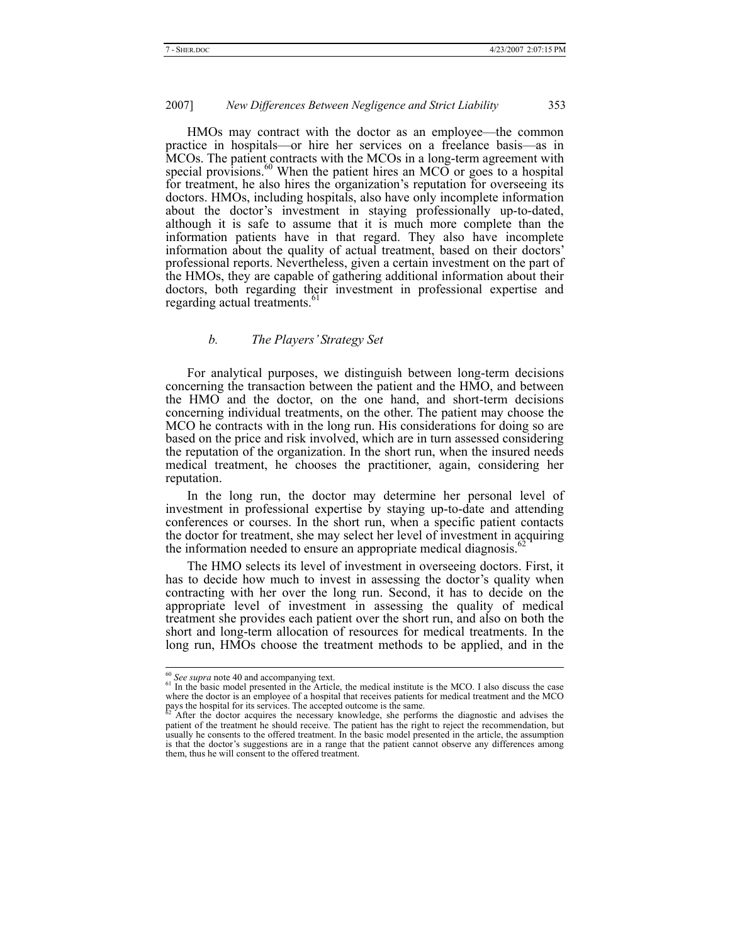HMOs may contract with the doctor as an employee—the common practice in hospitals—or hire her services on a freelance basis—as in MCOs. The patient contracts with the MCOs in a long-term agreement with special provisions. $60$  When the patient hires an MCO or goes to a hospital for treatment, he also hires the organization's reputation for overseeing its doctors. HMOs, including hospitals, also have only incomplete information about the doctor's investment in staying professionally up-to-dated, although it is safe to assume that it is much more complete than the information patients have in that regard. They also have incomplete information about the quality of actual treatment, based on their doctors' professional reports. Nevertheless, given a certain investment on the part of the HMOs, they are capable of gathering additional information about their doctors, both regarding their investment in professional expertise and regarding actual treatments.<sup>61</sup>

# *b. The Players' Strategy Set*

For analytical purposes, we distinguish between long-term decisions concerning the transaction between the patient and the HMO, and between the HMO and the doctor, on the one hand, and short-term decisions concerning individual treatments, on the other. The patient may choose the MCO he contracts with in the long run. His considerations for doing so are based on the price and risk involved, which are in turn assessed considering the reputation of the organization. In the short run, when the insured needs medical treatment, he chooses the practitioner, again, considering her reputation.

In the long run, the doctor may determine her personal level of investment in professional expertise by staying up-to-date and attending conferences or courses. In the short run, when a specific patient contacts the doctor for treatment, she may select her level of investment in acquiring the information needed to ensure an appropriate medical diagnosis.<sup>6</sup>

The HMO selects its level of investment in overseeing doctors. First, it has to decide how much to invest in assessing the doctor's quality when contracting with her over the long run. Second, it has to decide on the appropriate level of investment in assessing the quality of medical treatment she provides each patient over the short run, and also on both the short and long-term allocation of resources for medical treatments. In the long run, HMOs choose the treatment methods to be applied, and in the

<sup>&</sup>lt;sup>60</sup> See supra note 40 and accompanying text.<br><sup>61</sup> In the basic model presented in the Article, the medical institute is the MCO. I also discuss the case where the doctor is an employee of a hospital that receives patients for medical treatment and the MCO pays the hospital for its services. The accepted outcome is the same.

After the doctor acquires the necessary knowledge, she performs the diagnostic and advises the patient of the treatment he should receive. The patient has the right to reject the recommendation, but usually he consents to the offered treatment. In the basic model presented in the article, the assumption is that the doctor's suggestions are in a range that the patient cannot observe any differences among them, thus he will consent to the offered treatment.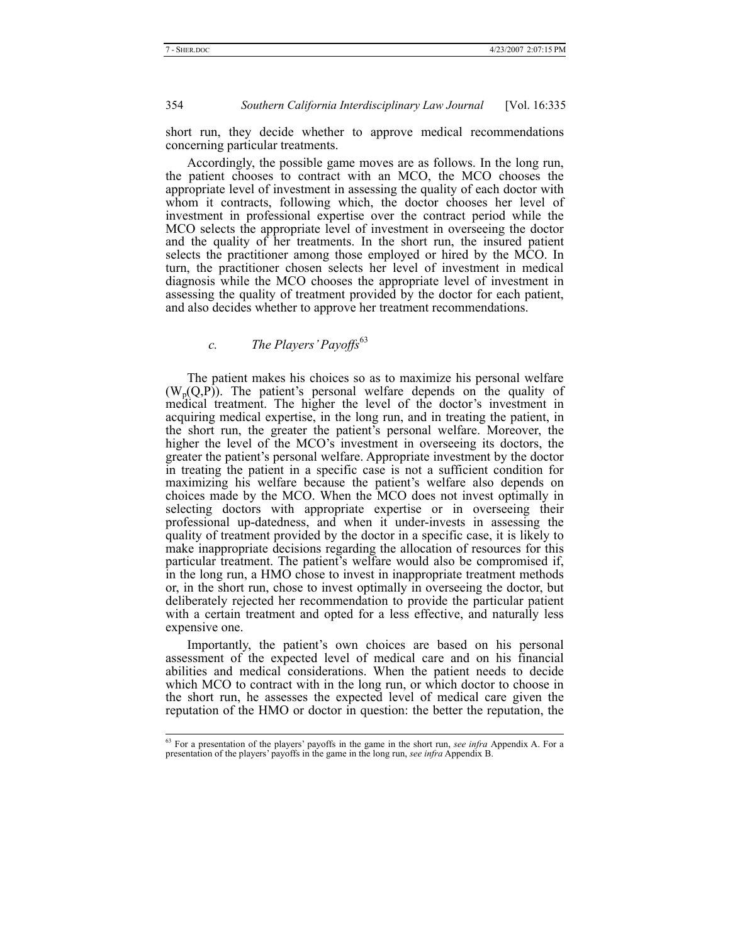short run, they decide whether to approve medical recommendations concerning particular treatments.

Accordingly, the possible game moves are as follows. In the long run, the patient chooses to contract with an MCO, the MCO chooses the appropriate level of investment in assessing the quality of each doctor with whom it contracts, following which, the doctor chooses her level of investment in professional expertise over the contract period while the MCO selects the appropriate level of investment in overseeing the doctor and the quality of her treatments. In the short run, the insured patient selects the practitioner among those employed or hired by the MCO. In turn, the practitioner chosen selects her level of investment in medical diagnosis while the MCO chooses the appropriate level of investment in assessing the quality of treatment provided by the doctor for each patient, and also decides whether to approve her treatment recommendations.

# *c. The Players' Payoffs*<sup>63</sup>

The patient makes his choices so as to maximize his personal welfare  $(W_p(Q, P))$ . The patient's personal welfare depends on the quality of medical treatment. The higher the level of the doctor's investment in acquiring medical expertise, in the long run, and in treating the patient, in the short run, the greater the patient's personal welfare. Moreover, the higher the level of the MCO's investment in overseeing its doctors, the greater the patient's personal welfare. Appropriate investment by the doctor in treating the patient in a specific case is not a sufficient condition for maximizing his welfare because the patient's welfare also depends on choices made by the MCO. When the MCO does not invest optimally in selecting doctors with appropriate expertise or in overseeing their professional up-datedness, and when it under-invests in assessing the quality of treatment provided by the doctor in a specific case, it is likely to make inappropriate decisions regarding the allocation of resources for this particular treatment. The patient's welfare would also be compromised if, in the long run, a HMO chose to invest in inappropriate treatment methods or, in the short run, chose to invest optimally in overseeing the doctor, but deliberately rejected her recommendation to provide the particular patient with a certain treatment and opted for a less effective, and naturally less expensive one.

Importantly, the patient's own choices are based on his personal assessment of the expected level of medical care and on his financial abilities and medical considerations. When the patient needs to decide which MCO to contract with in the long run, or which doctor to choose in the short run, he assesses the expected level of medical care given the reputation of the HMO or doctor in question: the better the reputation, the

 <sup>63</sup> For a presentation of the players' payoffs in the game in the short run, *see infra* Appendix A. For a presentation of the players' payoffs in the game in the long run, *see infra* Appendix B.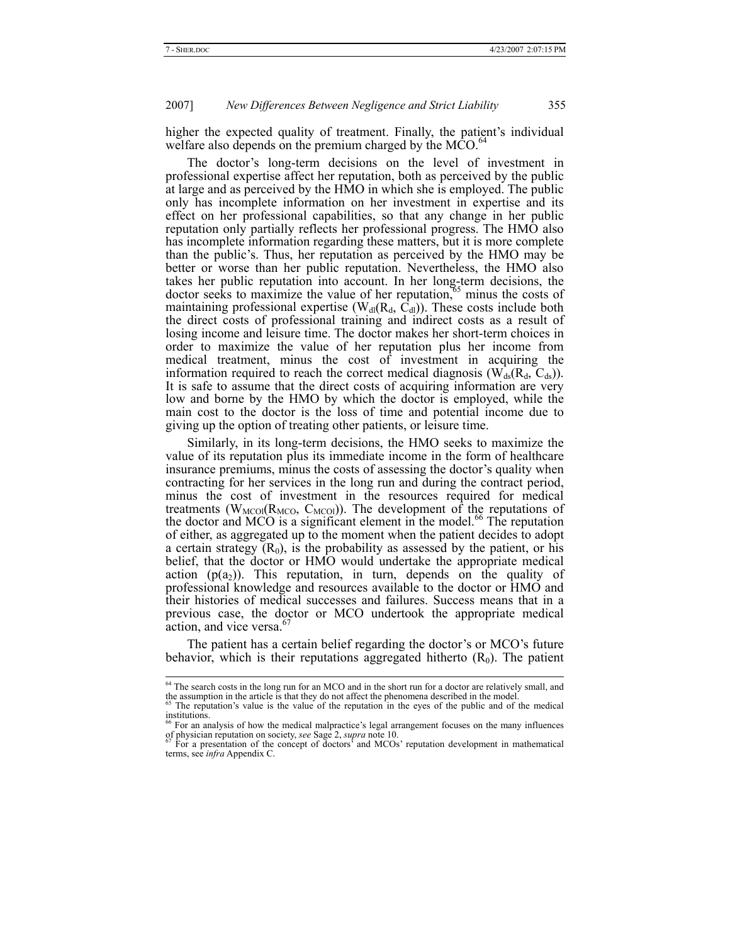higher the expected quality of treatment. Finally, the patient's individual welfare also depends on the premium charged by the MCO.<sup>6</sup>

The doctor's long-term decisions on the level of investment in professional expertise affect her reputation, both as perceived by the public at large and as perceived by the HMO in which she is employed. The public only has incomplete information on her investment in expertise and its effect on her professional capabilities, so that any change in her public reputation only partially reflects her professional progress. The HMO also has incomplete information regarding these matters, but it is more complete than the public's. Thus, her reputation as perceived by the HMO may be better or worse than her public reputation. Nevertheless, the HMO also takes her public reputation into account. In her long-term decisions, the doctor seeks to maximize the value of her reputation, $65$  minus the costs of maintaining professional expertise ( $W_{dl}(R_d, C_d)$ ). These costs include both the direct costs of professional training and indirect costs as a result of losing income and leisure time. The doctor makes her short-term choices in order to maximize the value of her reputation plus her income from medical treatment, minus the cost of investment in acquiring the information required to reach the correct medical diagnosis ( $\overline{W}_{ds}(R_d, C_{ds})$ ). It is safe to assume that the direct costs of acquiring information are very low and borne by the HMO by which the doctor is employed, while the main cost to the doctor is the loss of time and potential income due to giving up the option of treating other patients, or leisure time.

Similarly, in its long-term decisions, the HMO seeks to maximize the value of its reputation plus its immediate income in the form of healthcare insurance premiums, minus the costs of assessing the doctor's quality when contracting for her services in the long run and during the contract period, minus the cost of investment in the resources required for medical treatments ( $W_{\text{MCO}}$ ( $R_{\text{MCO}}$ ,  $C_{\text{MCO}}$ )). The development of the reputations of the doctor and MCO is a significant element in the model.<sup>66</sup> The reputation of either, as aggregated up to the moment when the patient decides to adopt a certain strategy  $(R_0)$ , is the probability as assessed by the patient, or his belief, that the doctor or HMO would undertake the appropriate medical action  $(p(a_2))$ . This reputation, in turn, depends on the quality of professional knowledge and resources available to the doctor or HMO and their histories of medical successes and failures. Success means that in a previous case, the doctor or MCO undertook the appropriate medical action, and vice versa.<sup>6</sup>

The patient has a certain belief regarding the doctor's or MCO's future behavior, which is their reputations aggregated hitherto  $(R_0)$ . The patient

<sup>&</sup>lt;sup>64</sup> The search costs in the long run for an MCO and in the short run for a doctor are relatively small, and the assumption in the article is that they do not affect the phenomena described in the model.<br><sup>65</sup> The reputation's value is the value of the reputation in the eyes of the public and of the medical

institutions.

<sup>66</sup> For an analysis of how the medical malpractice's legal arrangement focuses on the many influences of physician reputation on society, *see* Sage 2, *supra* note 10. 67 For a presentation of the concept of doctors' and MCOs' reputation development in mathematical

terms, see *infra* Appendix C.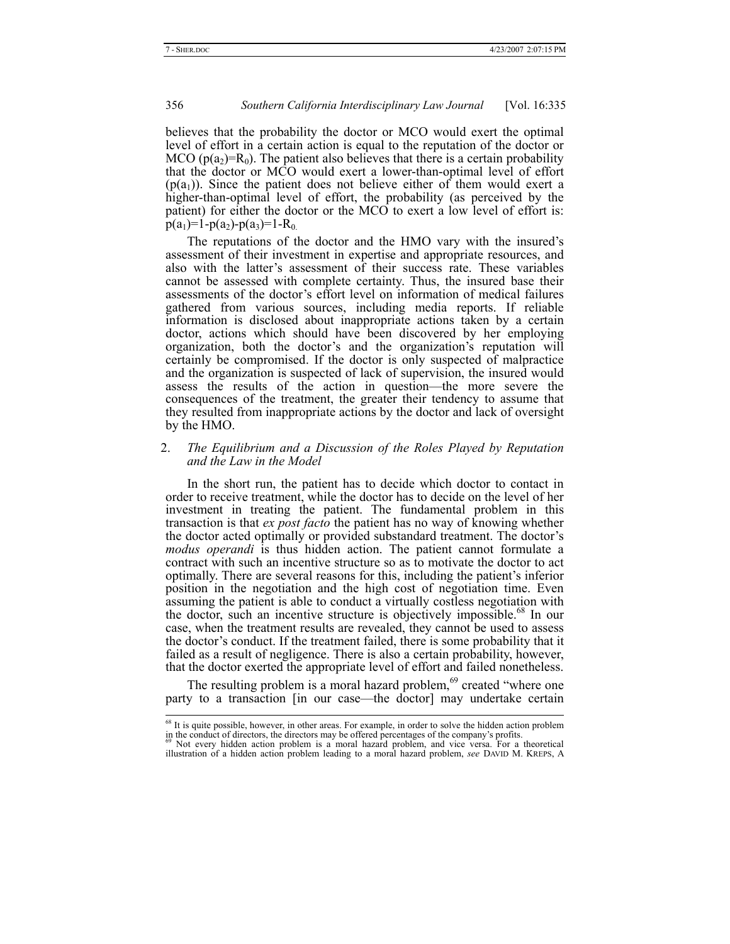believes that the probability the doctor or MCO would exert the optimal level of effort in a certain action is equal to the reputation of the doctor or MCO ( $p(a_2)=R_0$ ). The patient also believes that there is a certain probability that the doctor or MCO would exert a lower-than-optimal level of effort  $(p(a_1))$ . Since the patient does not believe either of them would exert a higher-than-optimal level of effort, the probability (as perceived by the patient) for either the doctor or the MCO to exert a low level of effort is:  $p(a_1)=1-p(a_2)-p(a_3)=1-R_0$ .

The reputations of the doctor and the HMO vary with the insured's assessment of their investment in expertise and appropriate resources, and also with the latter's assessment of their success rate. These variables cannot be assessed with complete certainty. Thus, the insured base their assessments of the doctor's effort level on information of medical failures gathered from various sources, including media reports. If reliable information is disclosed about inappropriate actions taken by a certain doctor, actions which should have been discovered by her employing organization, both the doctor's and the organization's reputation will certainly be compromised. If the doctor is only suspected of malpractice and the organization is suspected of lack of supervision, the insured would assess the results of the action in question—the more severe the consequences of the treatment, the greater their tendency to assume that they resulted from inappropriate actions by the doctor and lack of oversight by the HMO.

#### 2. *The Equilibrium and a Discussion of the Roles Played by Reputation and the Law in the Model*

In the short run, the patient has to decide which doctor to contact in order to receive treatment, while the doctor has to decide on the level of her investment in treating the patient. The fundamental problem in this transaction is that *ex post facto* the patient has no way of knowing whether the doctor acted optimally or provided substandard treatment. The doctor's *modus operandi* is thus hidden action. The patient cannot formulate a contract with such an incentive structure so as to motivate the doctor to act optimally. There are several reasons for this, including the patient's inferior position in the negotiation and the high cost of negotiation time. Even assuming the patient is able to conduct a virtually costless negotiation with the doctor, such an incentive structure is objectively impossible.<sup>68</sup> In our case, when the treatment results are revealed, they cannot be used to assess the doctor's conduct. If the treatment failed, there is some probability that it failed as a result of negligence. There is also a certain probability, however, that the doctor exerted the appropriate level of effort and failed nonetheless.

The resulting problem is a moral hazard problem, $69$  created "where one party to a transaction [in our case—the doctor] may undertake certain

<sup>&</sup>lt;sup>68</sup> It is quite possible, however, in other areas. For example, in order to solve the hidden action problem

in the conduct of directors, the directors may be offered percentages of the company's profits.<br>  $\frac{69}{100}$  Not every hidden action problem is a moral hazard problem, and vice versa. For a theoretical illustration of a hidden action problem leading to a moral hazard problem, *see* DAVID M. KREPS, A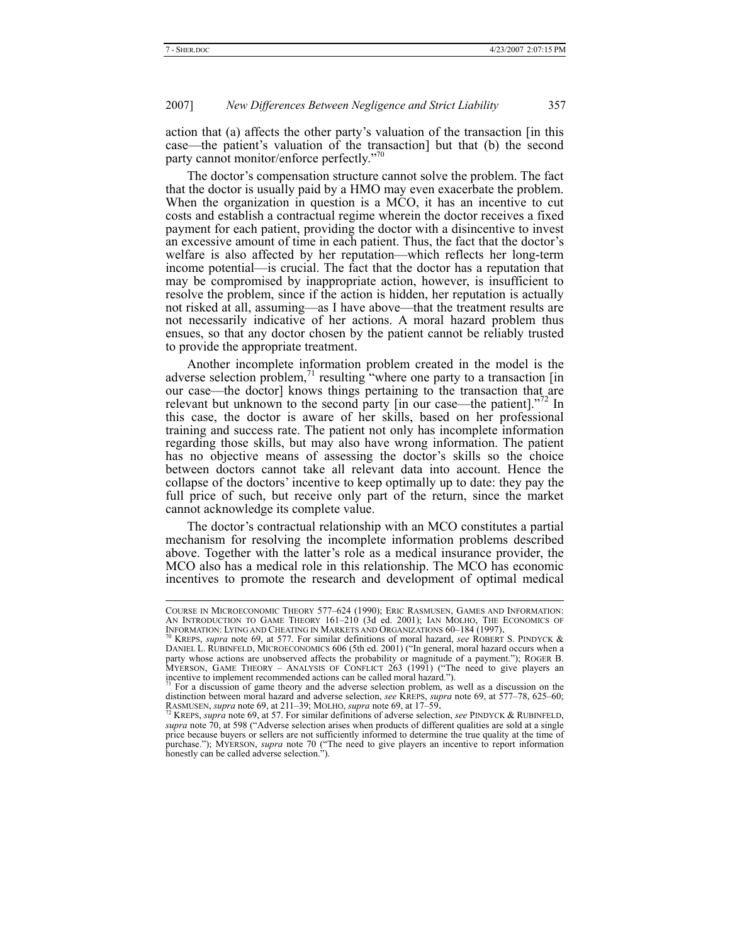action that (a) affects the other party's valuation of the transaction [in this case—the patient's valuation of the transaction] but that (b) the second party cannot monitor/enforce perfectly."<sup>70</sup>

The doctor's compensation structure cannot solve the problem. The fact that the doctor is usually paid by a HMO may even exacerbate the problem. When the organization in question is a MCO, it has an incentive to cut costs and establish a contractual regime wherein the doctor receives a fixed payment for each patient, providing the doctor with a disincentive to invest an excessive amount of time in each patient. Thus, the fact that the doctor's welfare is also affected by her reputation—which reflects her long-term income potential—is crucial. The fact that the doctor has a reputation that may be compromised by inappropriate action, however, is insufficient to resolve the problem, since if the action is hidden, her reputation is actually not risked at all, assuming—as I have above—that the treatment results are not necessarily indicative of her actions. A moral hazard problem thus ensues, so that any doctor chosen by the patient cannot be reliably trusted to provide the appropriate treatment.

Another incomplete information problem created in the model is the adverse selection problem, $\frac{71}{1}$  resulting "where one party to a transaction [in] our case—the doctor] knows things pertaining to the transaction that are relevant but unknown to the second party  $\lceil \text{in our case—the patient} \rceil$ .<sup>772</sup> In this case, the doctor is aware of her skills, based on her professional training and success rate. The patient not only has incomplete information regarding those skills, but may also have wrong information. The patient has no objective means of assessing the doctor's skills so the choice between doctors cannot take all relevant data into account. Hence the collapse of the doctors' incentive to keep optimally up to date: they pay the full price of such, but receive only part of the return, since the market cannot acknowledge its complete value.

The doctor's contractual relationship with an MCO constitutes a partial mechanism for resolving the incomplete information problems described above. Together with the latter's role as a medical insurance provider, the MCO also has a medical role in this relationship. The MCO has economic incentives to promote the research and development of optimal medical

COURSE IN MICROECONOMIC THEORY 577–624 (1990); ERIC RASMUSEN, GAMES AND INFORMATION: AN INTRODUCTION TO GAME THEORY 161–210 (3d ed. 2001); IAN MOLHO, THE ECONOMICS OF INFORMATION: LYING AND CHEATING IN MARKETS AND ORGANIZATIONS 60–184 (1997).<br><sup>70</sup> KREPS, *supra* note 69, at 577. For similar definitions of moral hazard, *see* ROBERT S. PINDYCK &

DANIEL L. RUBINFELD, MICROECONOMICS 606 (5th ed. 2001) ("In general, moral hazard occurs when a party whose actions are unobserved affects the probability or magnitude of a payment."); ROGER B. MYERSON, GAME THEORY – ANALYSIS OF CONFLICT 263 (1991) ("The need to give players an incentive to implement recommended actions can be called moral hazard.").

<sup>71</sup> For a discussion of game theory and the adverse selection problem, as well as a discussion on the distinction between moral hazard and adverse selection, *see* KREPS, *supra* note 69, at 577–78, 625–60;<br>RASMUSEN, *supra* note 69, at 211–39; MOLHO, *supra* note 69, at 17–59.<br><sup>72</sup> KREPS, *supra* note 69, at 57. For simi

*supra* note 70, at 598 ("Adverse selection arises when products of different qualities are sold at a single price because buyers or sellers are not sufficiently informed to determine the true quality at the time of purchase."); MYERSON, *supra* note 70 ("The need to give players an incentive to report information honestly can be called adverse selection.").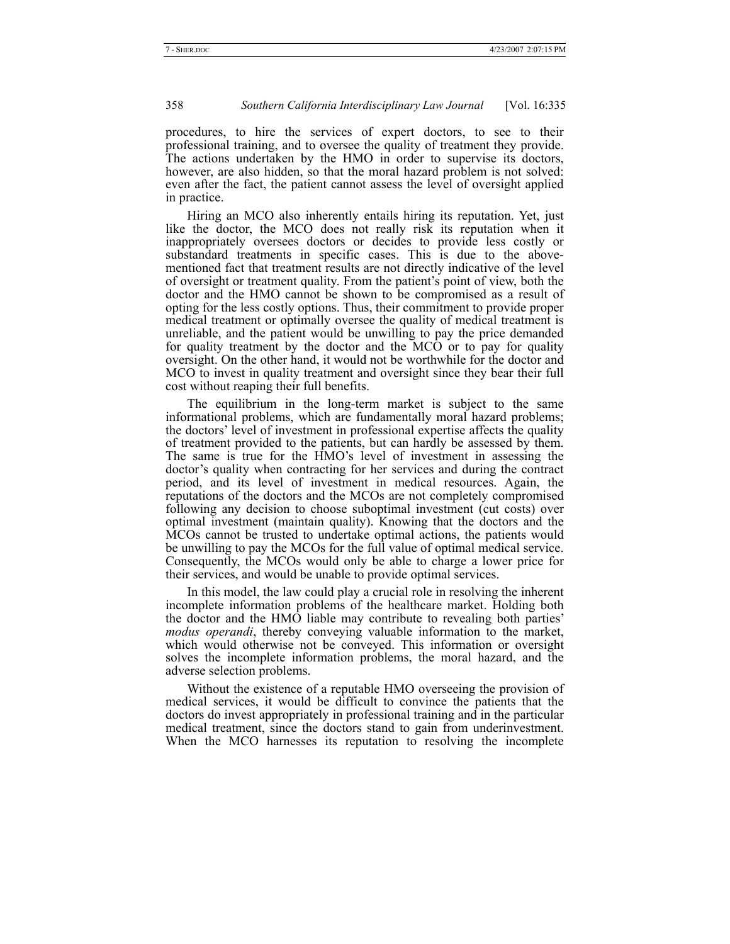procedures, to hire the services of expert doctors, to see to their professional training, and to oversee the quality of treatment they provide. The actions undertaken by the HMO in order to supervise its doctors, however, are also hidden, so that the moral hazard problem is not solved: even after the fact, the patient cannot assess the level of oversight applied in practice.

Hiring an MCO also inherently entails hiring its reputation. Yet, just like the doctor, the MCO does not really risk its reputation when it inappropriately oversees doctors or decides to provide less costly or substandard treatments in specific cases. This is due to the abovementioned fact that treatment results are not directly indicative of the level of oversight or treatment quality. From the patient's point of view, both the doctor and the HMO cannot be shown to be compromised as a result of opting for the less costly options. Thus, their commitment to provide proper medical treatment or optimally oversee the quality of medical treatment is unreliable, and the patient would be unwilling to pay the price demanded for quality treatment by the doctor and the MCO or to pay for quality oversight. On the other hand, it would not be worthwhile for the doctor and MCO to invest in quality treatment and oversight since they bear their full cost without reaping their full benefits.

The equilibrium in the long-term market is subject to the same informational problems, which are fundamentally moral hazard problems; the doctors' level of investment in professional expertise affects the quality of treatment provided to the patients, but can hardly be assessed by them. The same is true for the HMO's level of investment in assessing the doctor's quality when contracting for her services and during the contract period, and its level of investment in medical resources. Again, the reputations of the doctors and the MCOs are not completely compromised following any decision to choose suboptimal investment (cut costs) over optimal investment (maintain quality). Knowing that the doctors and the MCOs cannot be trusted to undertake optimal actions, the patients would be unwilling to pay the MCOs for the full value of optimal medical service. Consequently, the MCOs would only be able to charge a lower price for their services, and would be unable to provide optimal services.

In this model, the law could play a crucial role in resolving the inherent incomplete information problems of the healthcare market. Holding both the doctor and the HMO liable may contribute to revealing both parties' *modus operandi*, thereby conveying valuable information to the market, which would otherwise not be conveyed. This information or oversight solves the incomplete information problems, the moral hazard, and the adverse selection problems.

Without the existence of a reputable HMO overseeing the provision of medical services, it would be difficult to convince the patients that the doctors do invest appropriately in professional training and in the particular medical treatment, since the doctors stand to gain from underinvestment. When the MCO harnesses its reputation to resolving the incomplete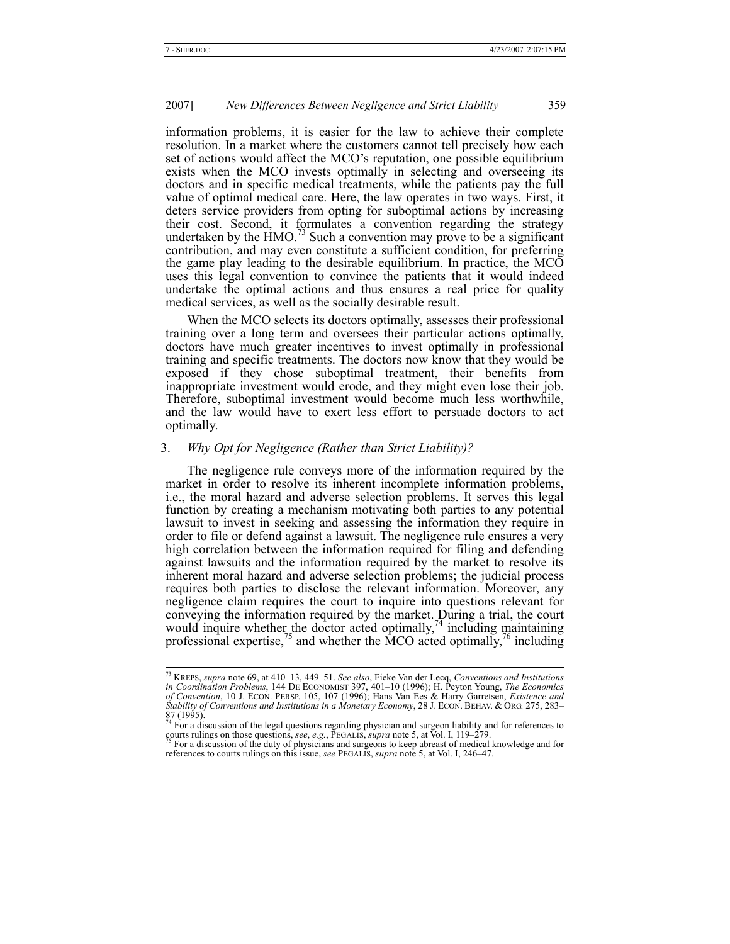information problems, it is easier for the law to achieve their complete resolution. In a market where the customers cannot tell precisely how each set of actions would affect the MCO's reputation, one possible equilibrium exists when the MCO invests optimally in selecting and overseeing its doctors and in specific medical treatments, while the patients pay the full value of optimal medical care. Here, the law operates in two ways. First, it deters service providers from opting for suboptimal actions by increasing their cost. Second, it formulates a convention regarding the strategy undertaken by the  $HMO.<sup>73</sup>$  Such a convention may prove to be a significant contribution, and may even constitute a sufficient condition, for preferring the game play leading to the desirable equilibrium. In practice, the MCO uses this legal convention to convince the patients that it would indeed undertake the optimal actions and thus ensures a real price for quality medical services, as well as the socially desirable result.

When the MCO selects its doctors optimally, assesses their professional training over a long term and oversees their particular actions optimally, doctors have much greater incentives to invest optimally in professional training and specific treatments. The doctors now know that they would be exposed if they chose suboptimal treatment, their benefits from inappropriate investment would erode, and they might even lose their job. Therefore, suboptimal investment would become much less worthwhile, and the law would have to exert less effort to persuade doctors to act optimally.

# 3. *Why Opt for Negligence (Rather than Strict Liability)?*

The negligence rule conveys more of the information required by the market in order to resolve its inherent incomplete information problems, i.e., the moral hazard and adverse selection problems. It serves this legal function by creating a mechanism motivating both parties to any potential lawsuit to invest in seeking and assessing the information they require in order to file or defend against a lawsuit. The negligence rule ensures a very high correlation between the information required for filing and defending against lawsuits and the information required by the market to resolve its inherent moral hazard and adverse selection problems; the judicial process requires both parties to disclose the relevant information. Moreover, any negligence claim requires the court to inquire into questions relevant for conveying the information required by the market. During a trial, the court would inquire whether the doctor acted optimally,<sup>74</sup> including maintaining professional expertise,<sup>75</sup> and whether the MCO acted optimally,<sup>76</sup> including

 <sup>73</sup> KREPS, *supra* note 69, at 410–13, 449–51. *See also*, Fieke Van der Lecq, *Conventions and Institutions*  in Coordination Problems, 144 DE ECONOMIST 397, 401–10 (1996); H. Peyton Young, *The Economics*<br>of Convention, 10 J. ECON. PERSP. 105, 107 (1996); Hans Van Ees & Harry Garretsen, *Existence and*<br>Stability of Conventions an

<sup>87 (1995).&</sup>lt;br><sup>74</sup> For a discussion of the legal questions regarding physician and surgeon liability and for references to courts rulings on those questions, *see*, *e.g.*, PEGALIS, *supra* note 5, at Vol. I, 119–279.<br><sup>75</sup> For a discussion of the duty of physicians and surgeons to keep abreast of medical knowledge and for

references to courts rulings on this issue, *see* PEGALIS, *supra* note 5, at Vol. I, 246–47.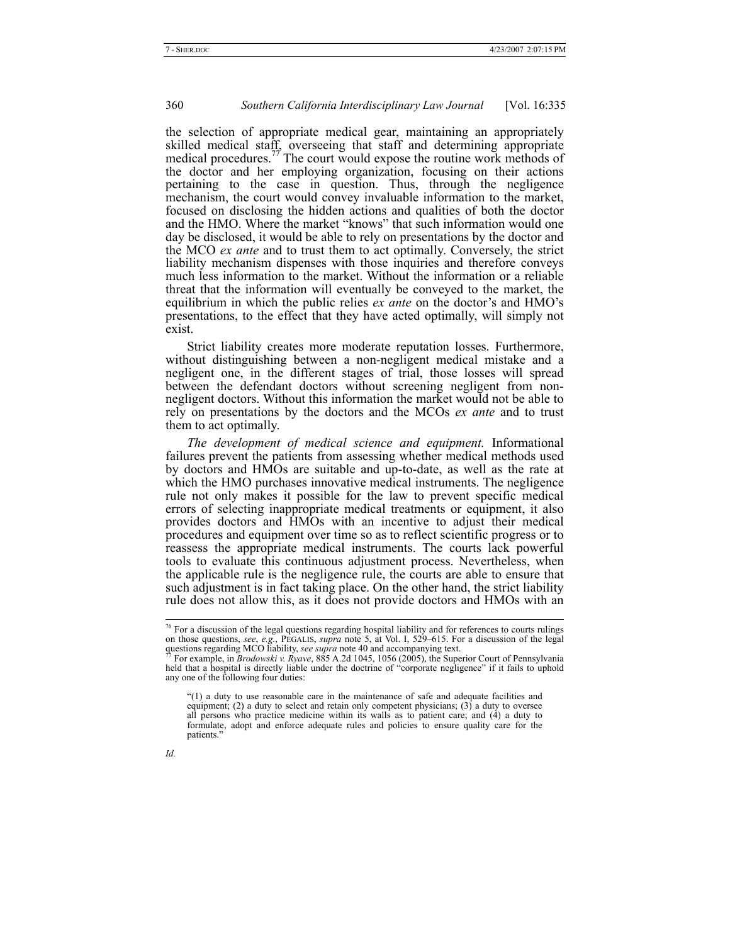the selection of appropriate medical gear, maintaining an appropriately skilled medical staff, overseeing that staff and determining appropriate medical procedures.<sup>77</sup> The court would expose the routine work methods of the doctor and her employing organization, focusing on their actions pertaining to the case in question. Thus, through the negligence mechanism, the court would convey invaluable information to the market, focused on disclosing the hidden actions and qualities of both the doctor and the HMO. Where the market "knows" that such information would one day be disclosed, it would be able to rely on presentations by the doctor and the MCO *ex ante* and to trust them to act optimally. Conversely, the strict liability mechanism dispenses with those inquiries and therefore conveys much less information to the market. Without the information or a reliable threat that the information will eventually be conveyed to the market, the equilibrium in which the public relies *ex ante* on the doctor's and HMO's presentations, to the effect that they have acted optimally, will simply not exist.

Strict liability creates more moderate reputation losses. Furthermore, without distinguishing between a non-negligent medical mistake and a negligent one, in the different stages of trial, those losses will spread between the defendant doctors without screening negligent from nonnegligent doctors. Without this information the market would not be able to rely on presentations by the doctors and the MCOs *ex ante* and to trust them to act optimally.

*The development of medical science and equipment.* Informational failures prevent the patients from assessing whether medical methods used by doctors and HMOs are suitable and up-to-date, as well as the rate at which the HMO purchases innovative medical instruments. The negligence rule not only makes it possible for the law to prevent specific medical errors of selecting inappropriate medical treatments or equipment, it also provides doctors and HMOs with an incentive to adjust their medical procedures and equipment over time so as to reflect scientific progress or to reassess the appropriate medical instruments. The courts lack powerful tools to evaluate this continuous adjustment process. Nevertheless, when the applicable rule is the negligence rule, the courts are able to ensure that such adjustment is in fact taking place. On the other hand, the strict liability rule does not allow this, as it does not provide doctors and HMOs with an

<sup>&</sup>quot;(1) a duty to use reasonable care in the maintenance of safe and adequate facilities and equipment; (2) a duty to select and retain only competent physicians;  $(3)$  a duty to oversee all persons who practice medicine within its walls as to patient care; and (4) a duty to formulate, adopt and enforce adequate rules and policies to ensure quality care for the patients."



<sup>&</sup>lt;sup>76</sup> For a discussion of the legal questions regarding hospital liability and for references to courts rulings on those questions, *see, e.g.*, PEGALIS, *supra* note 5, at Vol. I, 529–615. For a discussion of the legal questions regarding MCO liability, *see supra* note 40 and accompanying text.<br><sup>77</sup> For example, in *Brodowski v.* 

held that a hospital is directly liable under the doctrine of "corporate negligence" if it fails to uphold any one of the following four duties: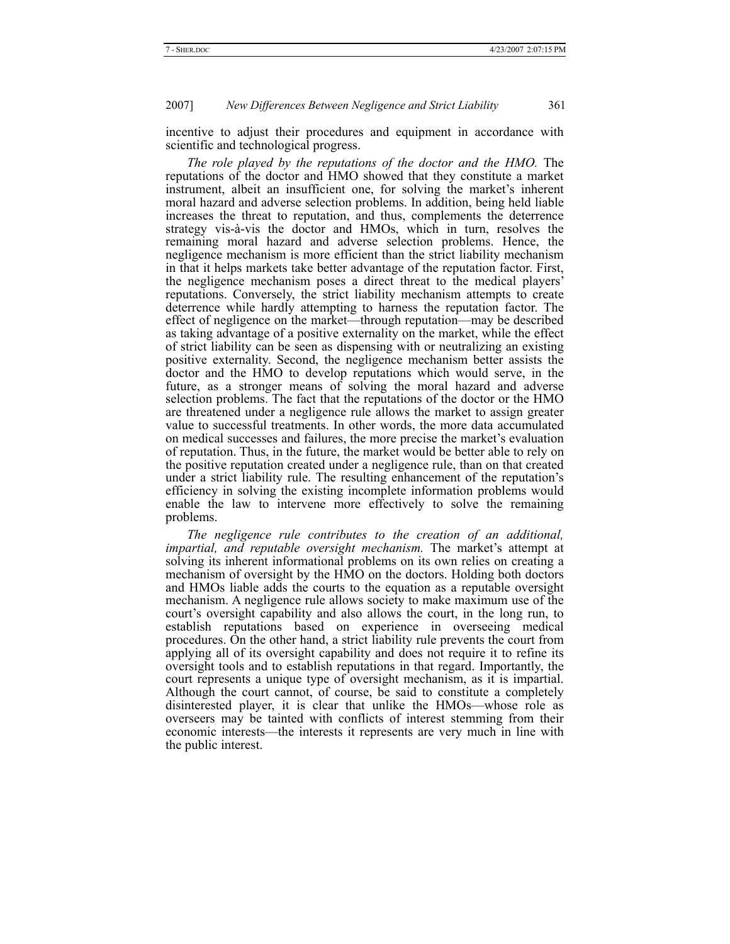incentive to adjust their procedures and equipment in accordance with scientific and technological progress.

*The role played by the reputations of the doctor and the HMO.* The reputations of the doctor and HMO showed that they constitute a market instrument, albeit an insufficient one, for solving the market's inherent moral hazard and adverse selection problems. In addition, being held liable increases the threat to reputation, and thus, complements the deterrence strategy vis-à-vis the doctor and HMOs, which in turn, resolves the remaining moral hazard and adverse selection problems. Hence, the negligence mechanism is more efficient than the strict liability mechanism in that it helps markets take better advantage of the reputation factor. First, the negligence mechanism poses a direct threat to the medical players' reputations. Conversely, the strict liability mechanism attempts to create deterrence while hardly attempting to harness the reputation factor. The effect of negligence on the market—through reputation—may be described as taking advantage of a positive externality on the market, while the effect of strict liability can be seen as dispensing with or neutralizing an existing positive externality. Second, the negligence mechanism better assists the doctor and the HMO to develop reputations which would serve, in the future, as a stronger means of solving the moral hazard and adverse selection problems. The fact that the reputations of the doctor or the HMO are threatened under a negligence rule allows the market to assign greater value to successful treatments. In other words, the more data accumulated on medical successes and failures, the more precise the market's evaluation of reputation. Thus, in the future, the market would be better able to rely on the positive reputation created under a negligence rule, than on that created under a strict liability rule. The resulting enhancement of the reputation's efficiency in solving the existing incomplete information problems would enable the law to intervene more effectively to solve the remaining problems.

*The negligence rule contributes to the creation of an additional, impartial, and reputable oversight mechanism.* The market's attempt at solving its inherent informational problems on its own relies on creating a mechanism of oversight by the HMO on the doctors. Holding both doctors and HMOs liable adds the courts to the equation as a reputable oversight mechanism. A negligence rule allows society to make maximum use of the court's oversight capability and also allows the court, in the long run, to establish reputations based on experience in overseeing medical procedures. On the other hand, a strict liability rule prevents the court from applying all of its oversight capability and does not require it to refine its oversight tools and to establish reputations in that regard. Importantly, the court represents a unique type of oversight mechanism, as it is impartial. Although the court cannot, of course, be said to constitute a completely disinterested player, it is clear that unlike the HMOs—whose role as overseers may be tainted with conflicts of interest stemming from their economic interests—the interests it represents are very much in line with the public interest.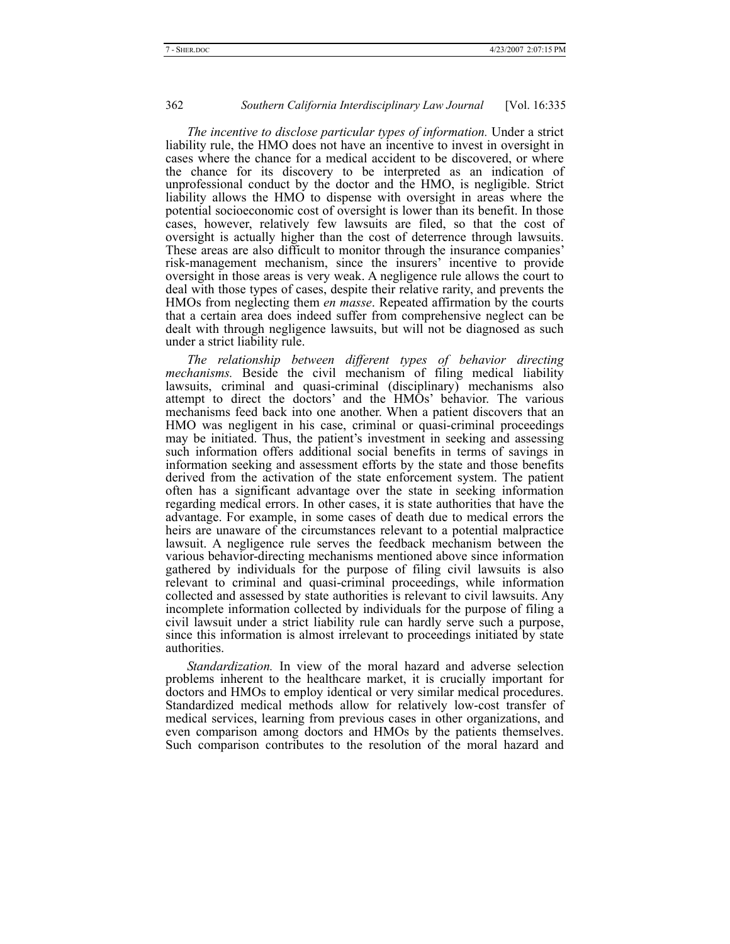*The incentive to disclose particular types of information.* Under a strict liability rule, the HMO does not have an incentive to invest in oversight in cases where the chance for a medical accident to be discovered, or where the chance for its discovery to be interpreted as an indication of unprofessional conduct by the doctor and the HMO, is negligible. Strict liability allows the HMO to dispense with oversight in areas where the potential socioeconomic cost of oversight is lower than its benefit. In those cases, however, relatively few lawsuits are filed, so that the cost of oversight is actually higher than the cost of deterrence through lawsuits. These areas are also difficult to monitor through the insurance companies' risk-management mechanism, since the insurers' incentive to provide oversight in those areas is very weak. A negligence rule allows the court to deal with those types of cases, despite their relative rarity, and prevents the HMOs from neglecting them *en masse*. Repeated affirmation by the courts that a certain area does indeed suffer from comprehensive neglect can be dealt with through negligence lawsuits, but will not be diagnosed as such under a strict liability rule.

*The relationship between different types of behavior directing mechanisms.* Beside the civil mechanism of filing medical liability lawsuits, criminal and quasi-criminal (disciplinary) mechanisms also attempt to direct the doctors' and the HMOs' behavior. The various mechanisms feed back into one another. When a patient discovers that an HMO was negligent in his case, criminal or quasi-criminal proceedings may be initiated. Thus, the patient's investment in seeking and assessing such information offers additional social benefits in terms of savings in information seeking and assessment efforts by the state and those benefits derived from the activation of the state enforcement system. The patient often has a significant advantage over the state in seeking information regarding medical errors. In other cases, it is state authorities that have the advantage. For example, in some cases of death due to medical errors the heirs are unaware of the circumstances relevant to a potential malpractice lawsuit. A negligence rule serves the feedback mechanism between the various behavior-directing mechanisms mentioned above since information gathered by individuals for the purpose of filing civil lawsuits is also relevant to criminal and quasi-criminal proceedings, while information collected and assessed by state authorities is relevant to civil lawsuits. Any incomplete information collected by individuals for the purpose of filing a civil lawsuit under a strict liability rule can hardly serve such a purpose, since this information is almost irrelevant to proceedings initiated by state authorities.

*Standardization.* In view of the moral hazard and adverse selection problems inherent to the healthcare market, it is crucially important for doctors and HMOs to employ identical or very similar medical procedures. Standardized medical methods allow for relatively low-cost transfer of medical services, learning from previous cases in other organizations, and even comparison among doctors and HMOs by the patients themselves. Such comparison contributes to the resolution of the moral hazard and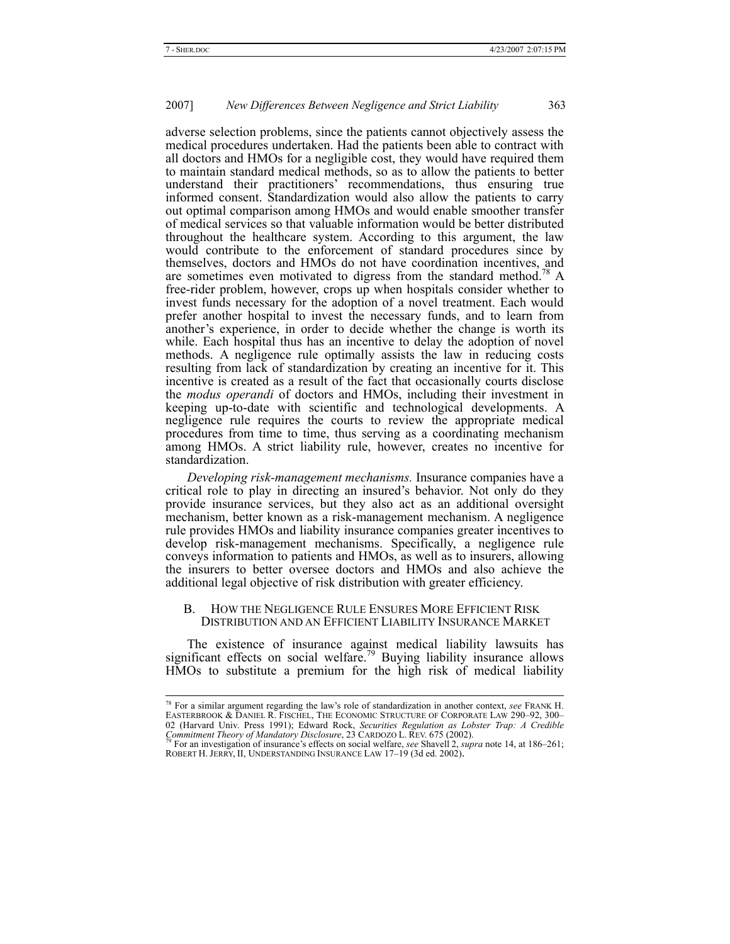adverse selection problems, since the patients cannot objectively assess the medical procedures undertaken. Had the patients been able to contract with all doctors and HMOs for a negligible cost, they would have required them to maintain standard medical methods, so as to allow the patients to better understand their practitioners' recommendations, thus ensuring true informed consent. Standardization would also allow the patients to carry out optimal comparison among HMOs and would enable smoother transfer of medical services so that valuable information would be better distributed throughout the healthcare system. According to this argument, the law would contribute to the enforcement of standard procedures since by themselves, doctors and HMOs do not have coordination incentives, and are sometimes even motivated to digress from the standard method.<sup>78</sup> A free-rider problem, however, crops up when hospitals consider whether to invest funds necessary for the adoption of a novel treatment. Each would prefer another hospital to invest the necessary funds, and to learn from another's experience, in order to decide whether the change is worth its while. Each hospital thus has an incentive to delay the adoption of novel methods. A negligence rule optimally assists the law in reducing costs resulting from lack of standardization by creating an incentive for it. This incentive is created as a result of the fact that occasionally courts disclose the *modus operandi* of doctors and HMOs, including their investment in keeping up-to-date with scientific and technological developments. A negligence rule requires the courts to review the appropriate medical procedures from time to time, thus serving as a coordinating mechanism among HMOs. A strict liability rule, however, creates no incentive for standardization.

*Developing risk-management mechanisms.* Insurance companies have a critical role to play in directing an insured's behavior. Not only do they provide insurance services, but they also act as an additional oversight mechanism, better known as a risk-management mechanism. A negligence rule provides HMOs and liability insurance companies greater incentives to develop risk-management mechanisms. Specifically, a negligence rule conveys information to patients and HMOs, as well as to insurers, allowing the insurers to better oversee doctors and HMOs and also achieve the additional legal objective of risk distribution with greater efficiency.

#### B. HOW THE NEGLIGENCE RULE ENSURES MORE EFFICIENT RISK DISTRIBUTION AND AN EFFICIENT LIABILITY INSURANCE MARKET

The existence of insurance against medical liability lawsuits has significant effects on social welfare.<sup>79</sup> Buying liability insurance allows HMOs to substitute a premium for the high risk of medical liability

 <sup>78</sup> For a similar argument regarding the law's role of standardization in another context, *see* FRANK H. EASTERBROOK & DANIEL R. FISCHEL, THE ECONOMIC STRUCTURE OF CORPORATE LAW 290–92, 300– 02 (Harvard Univ. Press 1991); Edward Rock, *Securities Regulation as Lobster Trap: A Credible Commitment Theory of Mandatory Disclosure*, 23 CARDOZO L. REV. 675 (2002).<br><sup>79</sup> For an investigation of insurance's effects on

ROBERT H. JERRY, II, UNDERSTANDING INSURANCE LAW 17–19 (3d ed. 2002).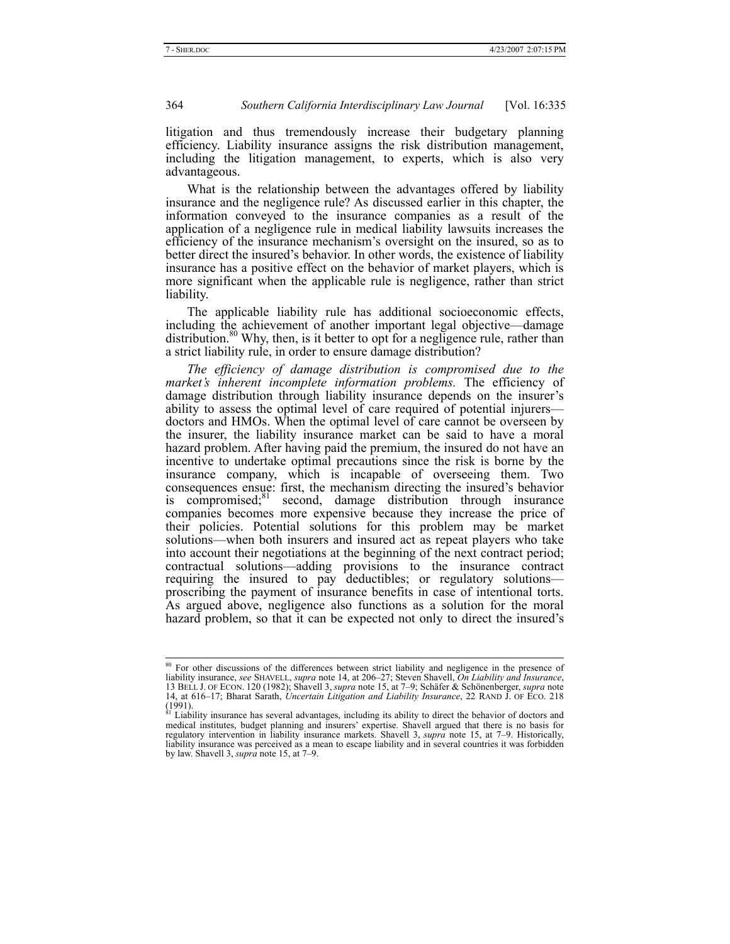litigation and thus tremendously increase their budgetary planning efficiency. Liability insurance assigns the risk distribution management, including the litigation management, to experts, which is also very advantageous.

What is the relationship between the advantages offered by liability insurance and the negligence rule? As discussed earlier in this chapter, the information conveyed to the insurance companies as a result of the application of a negligence rule in medical liability lawsuits increases the efficiency of the insurance mechanism's oversight on the insured, so as to better direct the insured's behavior. In other words, the existence of liability insurance has a positive effect on the behavior of market players, which is more significant when the applicable rule is negligence, rather than strict liability.

The applicable liability rule has additional socioeconomic effects, including the achievement of another important legal objective—damage distribution.<sup>80</sup> Why, then, is it better to opt for a negligence rule, rather than a strict liability rule, in order to ensure damage distribution?

*The efficiency of damage distribution is compromised due to the market's inherent incomplete information problems.* The efficiency of damage distribution through liability insurance depends on the insurer's ability to assess the optimal level of care required of potential injurers doctors and HMOs. When the optimal level of care cannot be overseen by the insurer, the liability insurance market can be said to have a moral hazard problem. After having paid the premium, the insured do not have an incentive to undertake optimal precautions since the risk is borne by the insurance company, which is incapable of overseeing them. Two consequences ensue: first, the mechanism directing the insured's behavior is compromised; $81$  second, damage distribution through insurance companies becomes more expensive because they increase the price of their policies. Potential solutions for this problem may be market solutions—when both insurers and insured act as repeat players who take into account their negotiations at the beginning of the next contract period; contractual solutions—adding provisions to the insurance contract requiring the insured to pay deductibles; or regulatory solutions proscribing the payment of insurance benefits in case of intentional torts. As argued above, negligence also functions as a solution for the moral hazard problem, so that it can be expected not only to direct the insured's

<sup>&</sup>lt;sup>80</sup> For other discussions of the differences between strict liability and negligence in the presence of liability insurance, *see* SHAVELL, *supra* note 14, at 206–27; Steven Shavell, *On Liability and Insurance*, 13 BELL J. OF ECON. 120 (1982); Shavell 3, *supra* note 15, at 7–9; Schäfer & Schönenberger, *supra* note 14, at 616–17; Bharat Sarath, *Uncertain Litigation and Liability Insurance*, 22 RAND J. OF ECO. 218 (1991).<br><sup>81</sup> Liability insurance has several advantages, including its ability to direct the behavior of doctors and

medical institutes, budget planning and insurers' expertise. Shavell argued that there is no basis for regulatory intervention in liability insurance markets. Shavell 3, *supra* note 15, at 7–9. Historically, liability insurance was perceived as a mean to escape liability and in several countries it was forbidden by law. Shavell 3, *supra* note 15, at 7–9.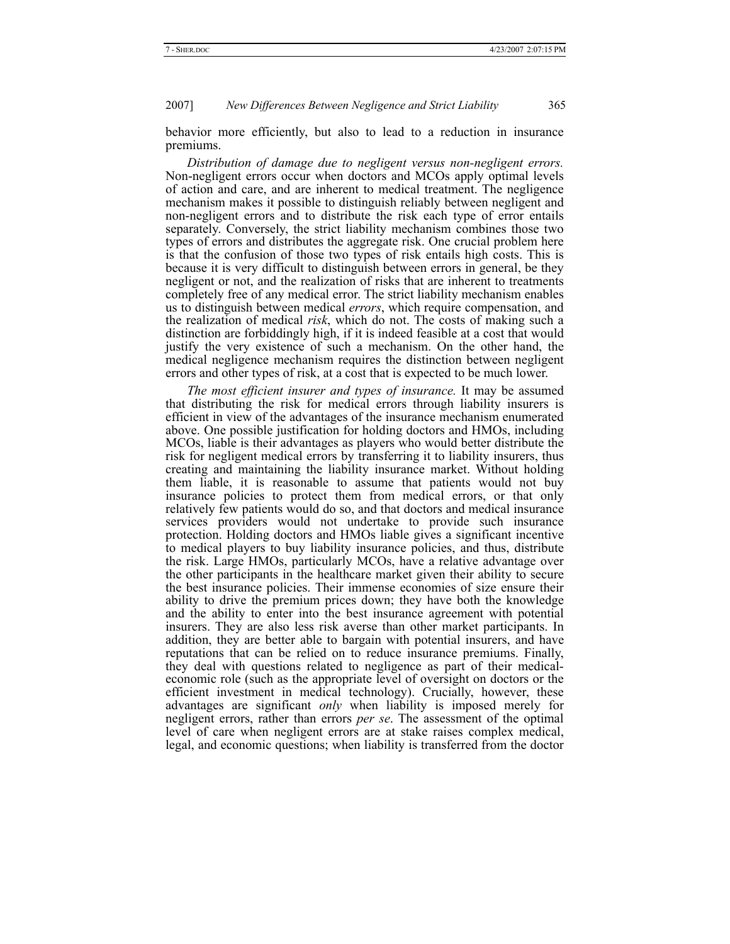behavior more efficiently, but also to lead to a reduction in insurance premiums.

*Distribution of damage due to negligent versus non-negligent errors.*  Non-negligent errors occur when doctors and MCOs apply optimal levels of action and care, and are inherent to medical treatment. The negligence mechanism makes it possible to distinguish reliably between negligent and non-negligent errors and to distribute the risk each type of error entails separately. Conversely, the strict liability mechanism combines those two types of errors and distributes the aggregate risk. One crucial problem here is that the confusion of those two types of risk entails high costs. This is because it is very difficult to distinguish between errors in general, be they negligent or not, and the realization of risks that are inherent to treatments completely free of any medical error. The strict liability mechanism enables us to distinguish between medical *errors*, which require compensation, and the realization of medical *risk*, which do not. The costs of making such a distinction are forbiddingly high, if it is indeed feasible at a cost that would justify the very existence of such a mechanism. On the other hand, the medical negligence mechanism requires the distinction between negligent errors and other types of risk, at a cost that is expected to be much lower.

*The most efficient insurer and types of insurance.* It may be assumed that distributing the risk for medical errors through liability insurers is efficient in view of the advantages of the insurance mechanism enumerated above. One possible justification for holding doctors and HMOs, including MCOs, liable is their advantages as players who would better distribute the risk for negligent medical errors by transferring it to liability insurers, thus creating and maintaining the liability insurance market. Without holding them liable, it is reasonable to assume that patients would not buy insurance policies to protect them from medical errors, or that only relatively few patients would do so, and that doctors and medical insurance services providers would not undertake to provide such insurance protection. Holding doctors and HMOs liable gives a significant incentive to medical players to buy liability insurance policies, and thus, distribute the risk. Large HMOs, particularly MCOs, have a relative advantage over the other participants in the healthcare market given their ability to secure the best insurance policies. Their immense economies of size ensure their ability to drive the premium prices down; they have both the knowledge and the ability to enter into the best insurance agreement with potential insurers. They are also less risk averse than other market participants. In addition, they are better able to bargain with potential insurers, and have reputations that can be relied on to reduce insurance premiums. Finally, they deal with questions related to negligence as part of their medicaleconomic role (such as the appropriate level of oversight on doctors or the efficient investment in medical technology). Crucially, however, these advantages are significant *only* when liability is imposed merely for negligent errors, rather than errors *per se*. The assessment of the optimal level of care when negligent errors are at stake raises complex medical, legal, and economic questions; when liability is transferred from the doctor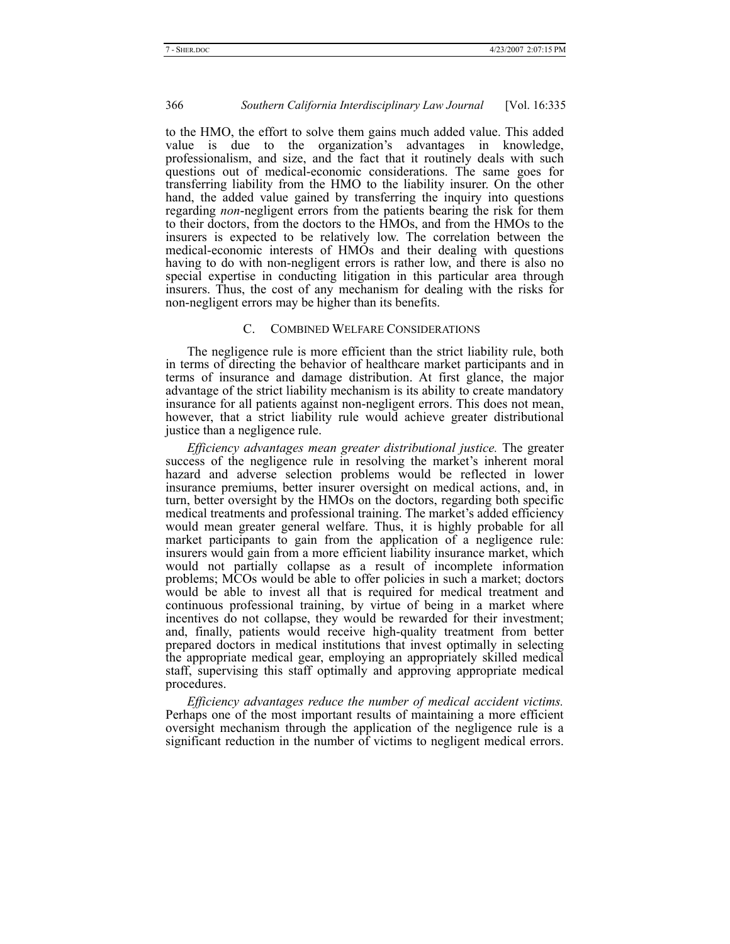to the HMO, the effort to solve them gains much added value. This added value is due to the organization's advantages in knowledge, professionalism, and size, and the fact that it routinely deals with such questions out of medical-economic considerations. The same goes for transferring liability from the HMO to the liability insurer. On the other hand, the added value gained by transferring the inquiry into questions regarding *non*-negligent errors from the patients bearing the risk for them to their doctors, from the doctors to the HMOs, and from the HMOs to the insurers is expected to be relatively low. The correlation between the medical-economic interests of HMOs and their dealing with questions having to do with non-negligent errors is rather low, and there is also no special expertise in conducting litigation in this particular area through insurers. Thus, the cost of any mechanism for dealing with the risks for non-negligent errors may be higher than its benefits.

# C. COMBINED WELFARE CONSIDERATIONS

The negligence rule is more efficient than the strict liability rule, both in terms of directing the behavior of healthcare market participants and in terms of insurance and damage distribution. At first glance, the major advantage of the strict liability mechanism is its ability to create mandatory insurance for all patients against non-negligent errors. This does not mean, however, that a strict liability rule would achieve greater distributional justice than a negligence rule.

*Efficiency advantages mean greater distributional justice.* The greater success of the negligence rule in resolving the market's inherent moral hazard and adverse selection problems would be reflected in lower insurance premiums, better insurer oversight on medical actions, and, in turn, better oversight by the HMOs on the doctors, regarding both specific medical treatments and professional training. The market's added efficiency would mean greater general welfare. Thus, it is highly probable for all market participants to gain from the application of a negligence rule: insurers would gain from a more efficient liability insurance market, which would not partially collapse as a result of incomplete information problems; MCOs would be able to offer policies in such a market; doctors would be able to invest all that is required for medical treatment and continuous professional training, by virtue of being in a market where incentives do not collapse, they would be rewarded for their investment; and, finally, patients would receive high-quality treatment from better prepared doctors in medical institutions that invest optimally in selecting the appropriate medical gear, employing an appropriately skilled medical staff, supervising this staff optimally and approving appropriate medical procedures.

*Efficiency advantages reduce the number of medical accident victims.*  Perhaps one of the most important results of maintaining a more efficient oversight mechanism through the application of the negligence rule is a significant reduction in the number of victims to negligent medical errors.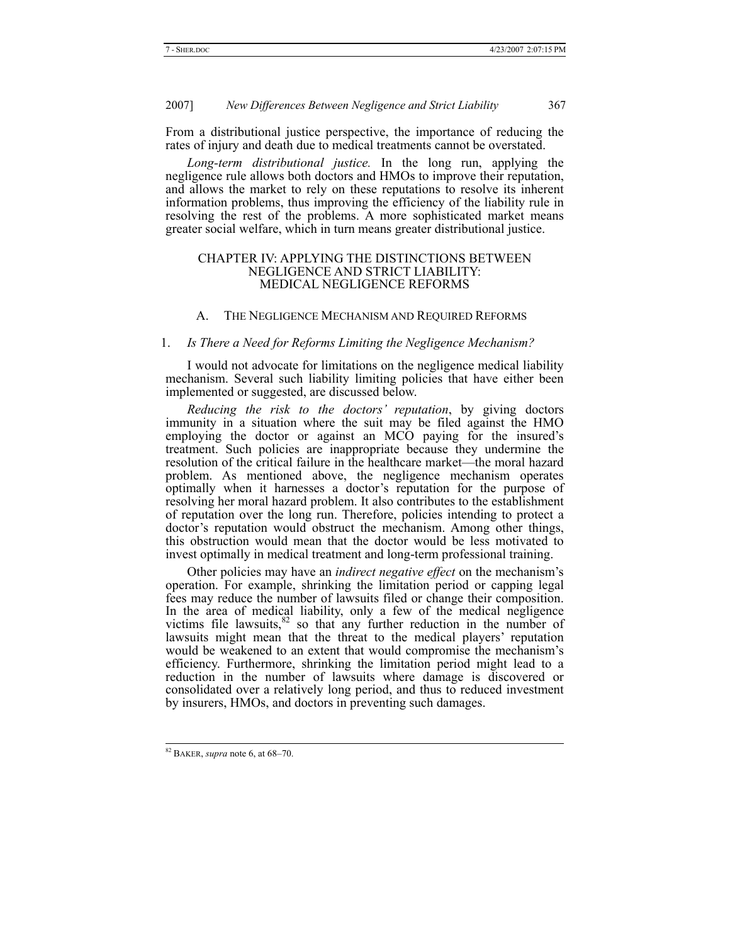From a distributional justice perspective, the importance of reducing the rates of injury and death due to medical treatments cannot be overstated.

*Long-term distributional justice.* In the long run, applying the negligence rule allows both doctors and HMOs to improve their reputation, and allows the market to rely on these reputations to resolve its inherent information problems, thus improving the efficiency of the liability rule in resolving the rest of the problems. A more sophisticated market means greater social welfare, which in turn means greater distributional justice.

#### CHAPTER IV: APPLYING THE DISTINCTIONS BETWEEN NEGLIGENCE AND STRICT LIABILITY: MEDICAL NEGLIGENCE REFORMS

# A. THE NEGLIGENCE MECHANISM AND REQUIRED REFORMS

#### 1. *Is There a Need for Reforms Limiting the Negligence Mechanism?*

I would not advocate for limitations on the negligence medical liability mechanism. Several such liability limiting policies that have either been implemented or suggested, are discussed below.

*Reducing the risk to the doctors' reputation*, by giving doctors immunity in a situation where the suit may be filed against the HMO employing the doctor or against an MCO paying for the insured's treatment. Such policies are inappropriate because they undermine the resolution of the critical failure in the healthcare market—the moral hazard problem. As mentioned above, the negligence mechanism operates optimally when it harnesses a doctor's reputation for the purpose of resolving her moral hazard problem. It also contributes to the establishment of reputation over the long run. Therefore, policies intending to protect a doctor's reputation would obstruct the mechanism. Among other things, this obstruction would mean that the doctor would be less motivated to invest optimally in medical treatment and long-term professional training.

Other policies may have an *indirect negative effect* on the mechanism's operation. For example, shrinking the limitation period or capping legal fees may reduce the number of lawsuits filed or change their composition. In the area of medical liability, only a few of the medical negligence victims file lawsuits, $82$  so that any further reduction in the number of lawsuits might mean that the threat to the medical players' reputation would be weakened to an extent that would compromise the mechanism's efficiency. Furthermore, shrinking the limitation period might lead to a reduction in the number of lawsuits where damage is discovered or consolidated over a relatively long period, and thus to reduced investment by insurers, HMOs, and doctors in preventing such damages.

 <sup>82</sup> BAKER, *supra* note 6, at 68–70.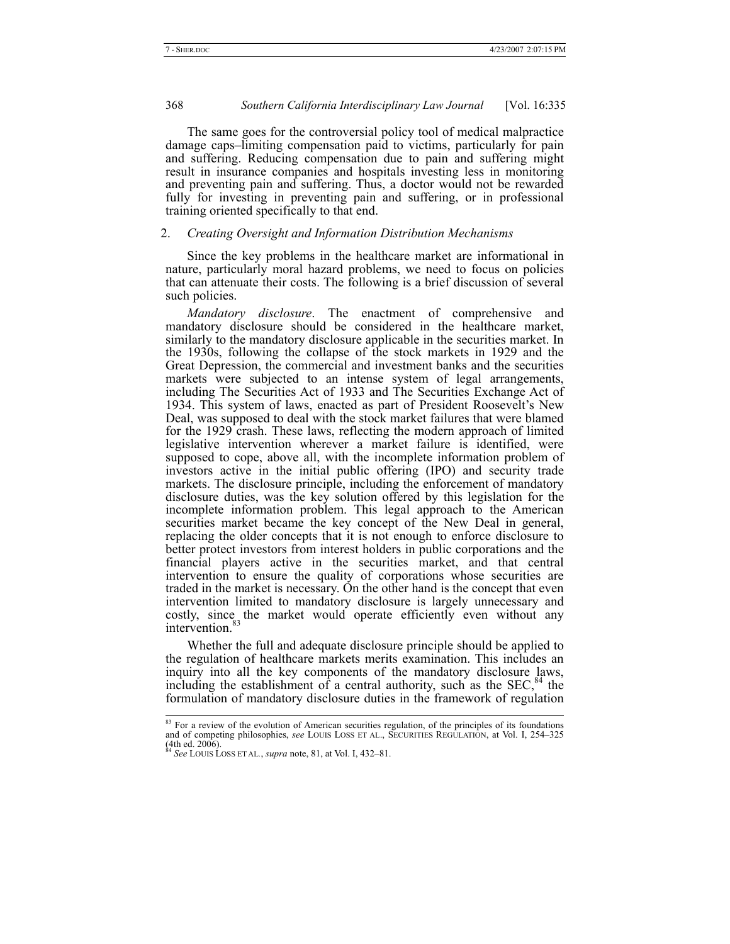The same goes for the controversial policy tool of medical malpractice damage caps–limiting compensation paid to victims, particularly for pain and suffering. Reducing compensation due to pain and suffering might result in insurance companies and hospitals investing less in monitoring and preventing pain and suffering. Thus, a doctor would not be rewarded fully for investing in preventing pain and suffering, or in professional training oriented specifically to that end.

#### 2. *Creating Oversight and Information Distribution Mechanisms*

Since the key problems in the healthcare market are informational in nature, particularly moral hazard problems, we need to focus on policies that can attenuate their costs. The following is a brief discussion of several such policies.

*Mandatory disclosure*. The enactment of comprehensive and mandatory disclosure should be considered in the healthcare market, similarly to the mandatory disclosure applicable in the securities market. In the 1930s, following the collapse of the stock markets in 1929 and the Great Depression, the commercial and investment banks and the securities markets were subjected to an intense system of legal arrangements, including The Securities Act of 1933 and The Securities Exchange Act of 1934. This system of laws, enacted as part of President Roosevelt's New Deal, was supposed to deal with the stock market failures that were blamed for the 1929 crash. These laws, reflecting the modern approach of limited legislative intervention wherever a market failure is identified, were supposed to cope, above all, with the incomplete information problem of investors active in the initial public offering (IPO) and security trade markets. The disclosure principle, including the enforcement of mandatory disclosure duties, was the key solution offered by this legislation for the incomplete information problem. This legal approach to the American securities market became the key concept of the New Deal in general, replacing the older concepts that it is not enough to enforce disclosure to better protect investors from interest holders in public corporations and the financial players active in the securities market, and that central intervention to ensure the quality of corporations whose securities are traded in the market is necessary. On the other hand is the concept that even intervention limited to mandatory disclosure is largely unnecessary and costly, since the market would operate efficiently even without any intervention.<sup>8</sup>

Whether the full and adequate disclosure principle should be applied to the regulation of healthcare markets merits examination. This includes an inquiry into all the key components of the mandatory disclosure laws, including the establishment of a central authority, such as the  $SEC<sub>2</sub><sup>84</sup>$  the formulation of mandatory disclosure duties in the framework of regulation

<sup>&</sup>lt;sup>83</sup> For a review of the evolution of American securities regulation, of the principles of its foundations and of competing philosophies, *see* LOUIS LOSS ET AL., SECURITIES REGULATION, at Vol. I, 254–325  $(4th$  ed. 2006).

<sup>84</sup> *See* LOUIS LOSS ET AL*.*, *supra* note, 81, at Vol. I, 432–81.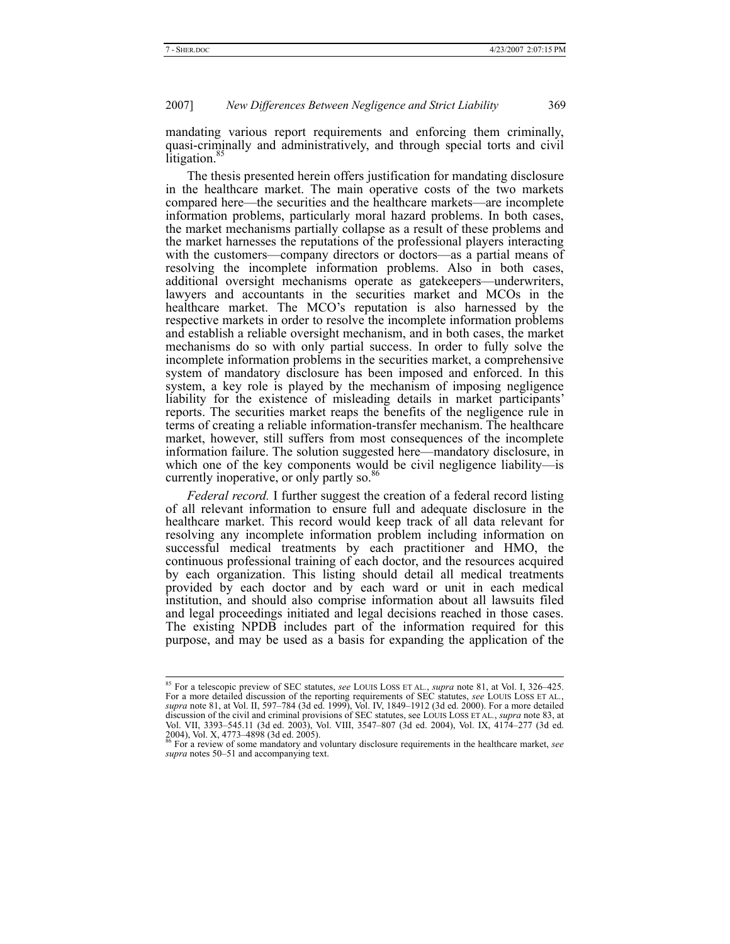mandating various report requirements and enforcing them criminally, quasi-criminally and administratively, and through special torts and civil litigation.<sup>85</sup>

The thesis presented herein offers justification for mandating disclosure in the healthcare market. The main operative costs of the two markets compared here—the securities and the healthcare markets—are incomplete information problems, particularly moral hazard problems. In both cases, the market mechanisms partially collapse as a result of these problems and the market harnesses the reputations of the professional players interacting with the customers—company directors or doctors—as a partial means of resolving the incomplete information problems. Also in both cases, additional oversight mechanisms operate as gatekeepers—underwriters, lawyers and accountants in the securities market and MCOs in the healthcare market. The MCO's reputation is also harnessed by the respective markets in order to resolve the incomplete information problems and establish a reliable oversight mechanism, and in both cases, the market mechanisms do so with only partial success. In order to fully solve the incomplete information problems in the securities market, a comprehensive system of mandatory disclosure has been imposed and enforced. In this system, a key role is played by the mechanism of imposing negligence liability for the existence of misleading details in market participants' reports. The securities market reaps the benefits of the negligence rule in terms of creating a reliable information-transfer mechanism. The healthcare market, however, still suffers from most consequences of the incomplete information failure. The solution suggested here—mandatory disclosure, in which one of the key components would be civil negligence liability—is currently inoperative, or only partly so.<sup>86</sup>

*Federal record.* I further suggest the creation of a federal record listing of all relevant information to ensure full and adequate disclosure in the healthcare market. This record would keep track of all data relevant for resolving any incomplete information problem including information on successful medical treatments by each practitioner and HMO, the continuous professional training of each doctor, and the resources acquired by each organization. This listing should detail all medical treatments provided by each doctor and by each ward or unit in each medical institution, and should also comprise information about all lawsuits filed and legal proceedings initiated and legal decisions reached in those cases. The existing NPDB includes part of the information required for this purpose, and may be used as a basis for expanding the application of the

 <sup>85</sup> For a telescopic preview of SEC statutes, *see* LOUIS LOSS ET AL*.*, *supra* note 81, at Vol. I, 326–425. For a more detailed discussion of the reporting requirements of SEC statutes, see LOUIS LOSS ET AL., supra note 81, at Vol. II, 597–784 (3d ed. 1999), Vol. IV, 1849–1912 (3d ed. 2000). For a more detailed discussion of the civil and criminal provisions of SEC statutes, see LOUIS LOSS ET AL*.*, *supra* note 83, at Vol. VII, 3393–545.11 (3d ed. 2003), Vol. VIII, 3547–807 (3d ed. 2004), Vol. IX, 4174–277 (3d ed. 2004), Vol. X, 4773–4898 (3d ed. 2005).<br>2004), Vol. X, 4773–4898 (3d ed. 2005).<br><sup>86</sup> For a review of some mandatory and volu

*supra* notes 50–51 and accompanying text.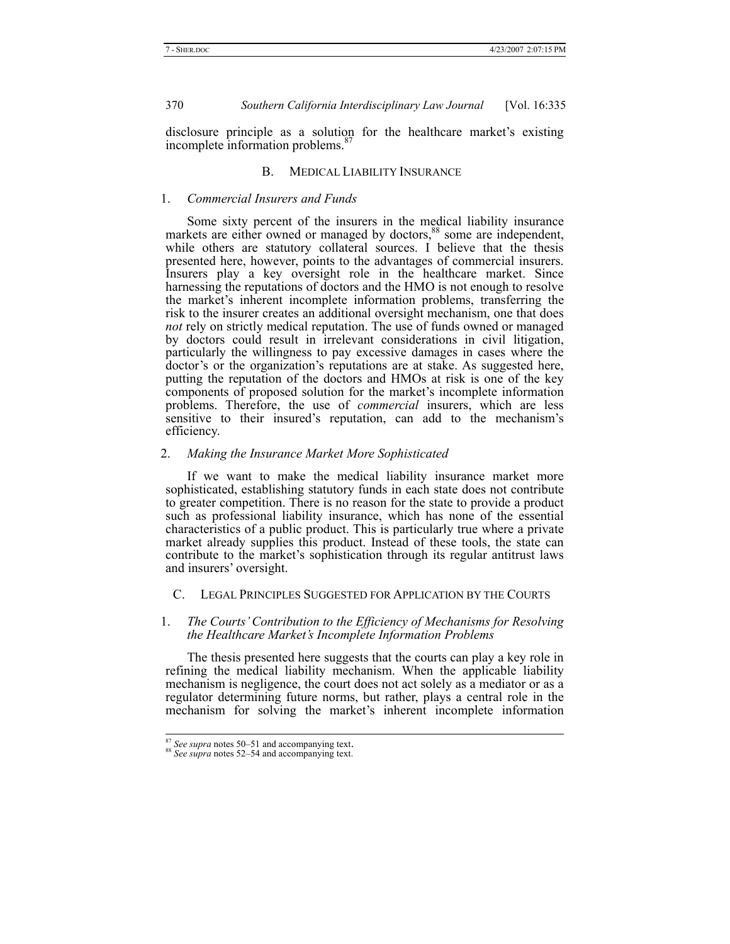disclosure principle as a solution for the healthcare market's existing incomplete information problems.<sup>8</sup>

# B. MEDICAL LIABILITY INSURANCE

#### 1. *Commercial Insurers and Funds*

Some sixty percent of the insurers in the medical liability insurance markets are either owned or managed by doctors,<sup>88</sup> some are independent, while others are statutory collateral sources. I believe that the thesis presented here, however, points to the advantages of commercial insurers. Insurers play a key oversight role in the healthcare market. Since harnessing the reputations of doctors and the HMO is not enough to resolve the market's inherent incomplete information problems, transferring the risk to the insurer creates an additional oversight mechanism, one that does *not* rely on strictly medical reputation. The use of funds owned or managed by doctors could result in irrelevant considerations in civil litigation, particularly the willingness to pay excessive damages in cases where the doctor's or the organization's reputations are at stake. As suggested here, putting the reputation of the doctors and HMOs at risk is one of the key components of proposed solution for the market's incomplete information problems. Therefore, the use of *commercial* insurers, which are less sensitive to their insured's reputation, can add to the mechanism's efficiency.

#### 2. *Making the Insurance Market More Sophisticated*

If we want to make the medical liability insurance market more sophisticated, establishing statutory funds in each state does not contribute to greater competition. There is no reason for the state to provide a product such as professional liability insurance, which has none of the essential characteristics of a public product. This is particularly true where a private market already supplies this product. Instead of these tools, the state can contribute to the market's sophistication through its regular antitrust laws and insurers' oversight.

# C. LEGAL PRINCIPLES SUGGESTED FOR APPLICATION BY THE COURTS

# 1. *The Courts' Contribution to the Efficiency of Mechanisms for Resolving the Healthcare Market's Incomplete Information Problems*

The thesis presented here suggests that the courts can play a key role in refining the medical liability mechanism. When the applicable liability mechanism is negligence, the court does not act solely as a mediator or as a regulator determining future norms, but rather, plays a central role in the mechanism for solving the market's inherent incomplete information

<sup>87</sup> *See supra* notes 50–51 and accompanying text. 88 *See supra* notes 52–54 and accompanying text.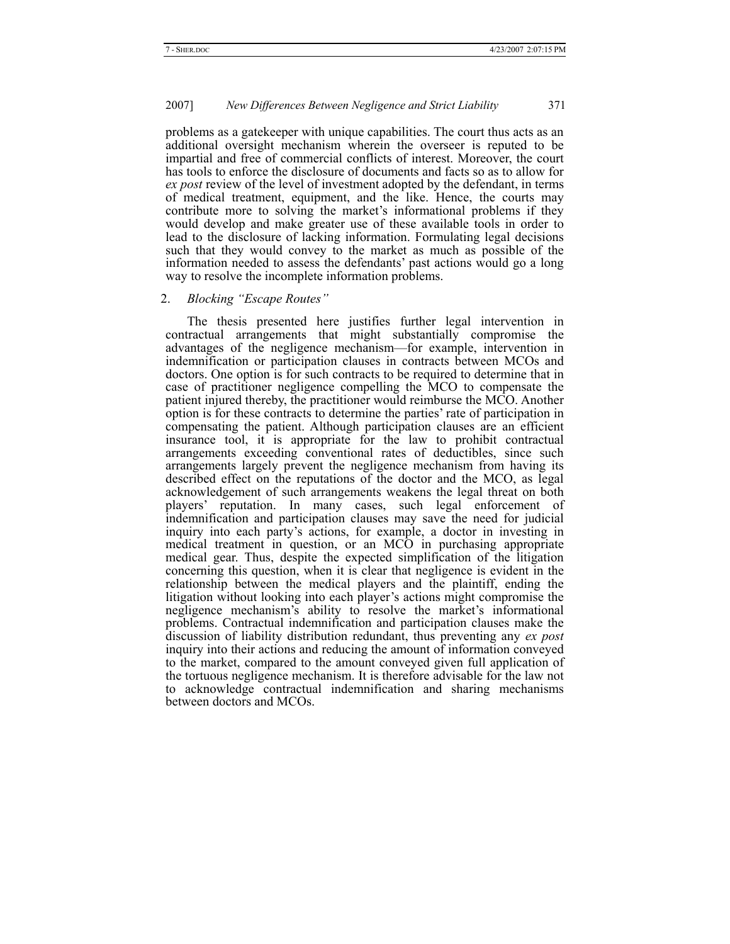problems as a gatekeeper with unique capabilities. The court thus acts as an additional oversight mechanism wherein the overseer is reputed to be impartial and free of commercial conflicts of interest. Moreover, the court has tools to enforce the disclosure of documents and facts so as to allow for *ex post* review of the level of investment adopted by the defendant, in terms of medical treatment, equipment, and the like. Hence, the courts may contribute more to solving the market's informational problems if they would develop and make greater use of these available tools in order to lead to the disclosure of lacking information. Formulating legal decisions such that they would convey to the market as much as possible of the information needed to assess the defendants' past actions would go a long way to resolve the incomplete information problems.

#### 2. *Blocking "Escape Routes"*

The thesis presented here justifies further legal intervention in contractual arrangements that might substantially compromise the advantages of the negligence mechanism—for example, intervention in indemnification or participation clauses in contracts between MCOs and doctors. One option is for such contracts to be required to determine that in case of practitioner negligence compelling the MCO to compensate the patient injured thereby, the practitioner would reimburse the MCO. Another option is for these contracts to determine the parties' rate of participation in compensating the patient. Although participation clauses are an efficient insurance tool, it is appropriate for the law to prohibit contractual arrangements exceeding conventional rates of deductibles, since such arrangements largely prevent the negligence mechanism from having its described effect on the reputations of the doctor and the MCO, as legal acknowledgement of such arrangements weakens the legal threat on both players' reputation. In many cases, such legal enforcement of indemnification and participation clauses may save the need for judicial inquiry into each party's actions, for example, a doctor in investing in medical treatment in question, or an MCO in purchasing appropriate medical gear. Thus, despite the expected simplification of the litigation concerning this question, when it is clear that negligence is evident in the relationship between the medical players and the plaintiff, ending the litigation without looking into each player's actions might compromise the negligence mechanism's ability to resolve the market's informational problems. Contractual indemnification and participation clauses make the discussion of liability distribution redundant, thus preventing any *ex post* inquiry into their actions and reducing the amount of information conveyed to the market, compared to the amount conveyed given full application of the tortuous negligence mechanism. It is therefore advisable for the law not to acknowledge contractual indemnification and sharing mechanisms between doctors and MCOs.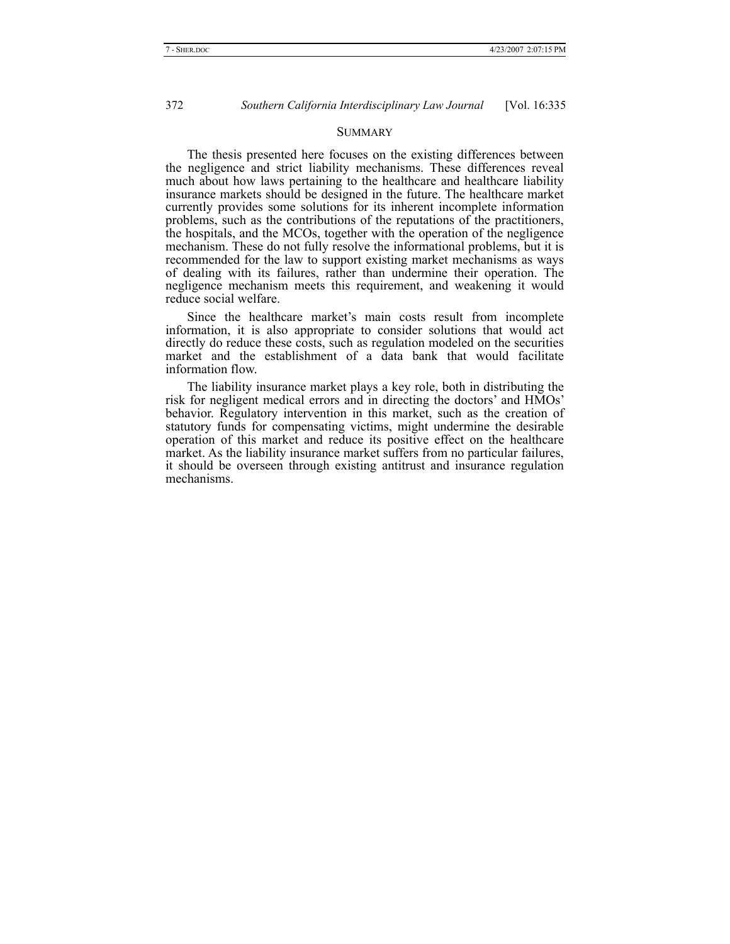#### **SUMMARY**

The thesis presented here focuses on the existing differences between the negligence and strict liability mechanisms. These differences reveal much about how laws pertaining to the healthcare and healthcare liability insurance markets should be designed in the future. The healthcare market currently provides some solutions for its inherent incomplete information problems, such as the contributions of the reputations of the practitioners, the hospitals, and the MCOs, together with the operation of the negligence mechanism. These do not fully resolve the informational problems, but it is recommended for the law to support existing market mechanisms as ways of dealing with its failures, rather than undermine their operation. The negligence mechanism meets this requirement, and weakening it would reduce social welfare.

Since the healthcare market's main costs result from incomplete information, it is also appropriate to consider solutions that would act directly do reduce these costs, such as regulation modeled on the securities market and the establishment of a data bank that would facilitate information flow.

The liability insurance market plays a key role, both in distributing the risk for negligent medical errors and in directing the doctors' and HMOs' behavior. Regulatory intervention in this market, such as the creation of statutory funds for compensating victims, might undermine the desirable operation of this market and reduce its positive effect on the healthcare market. As the liability insurance market suffers from no particular failures, it should be overseen through existing antitrust and insurance regulation mechanisms.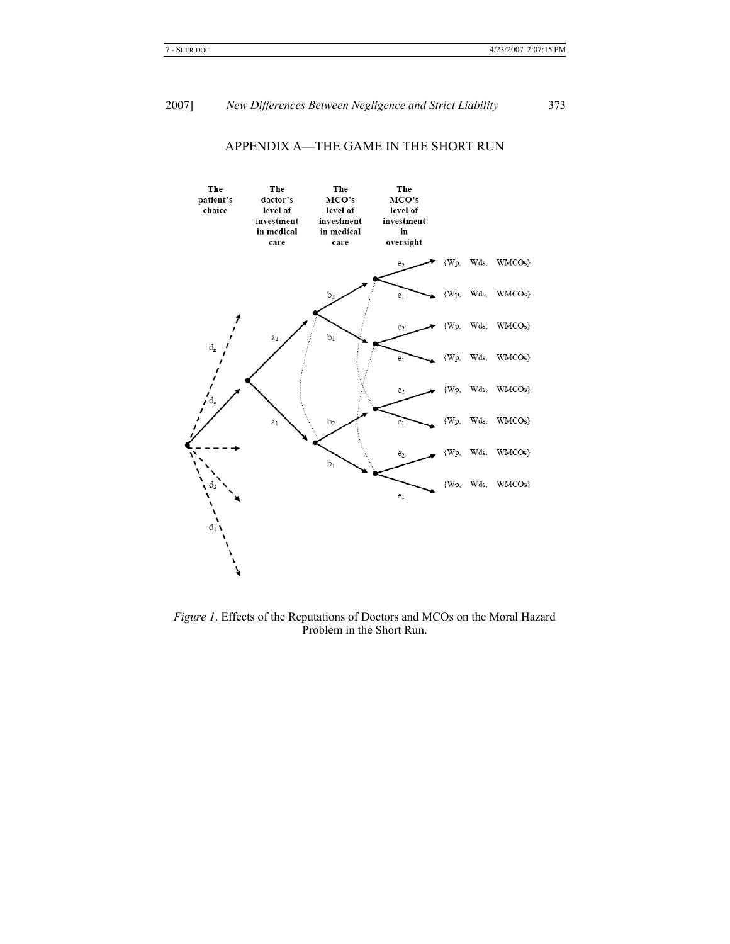

# APPENDIX A—THE GAME IN THE SHORT RUN

*Figure 1*. Effects of the Reputations of Doctors and MCOs on the Moral Hazard Problem in the Short Run.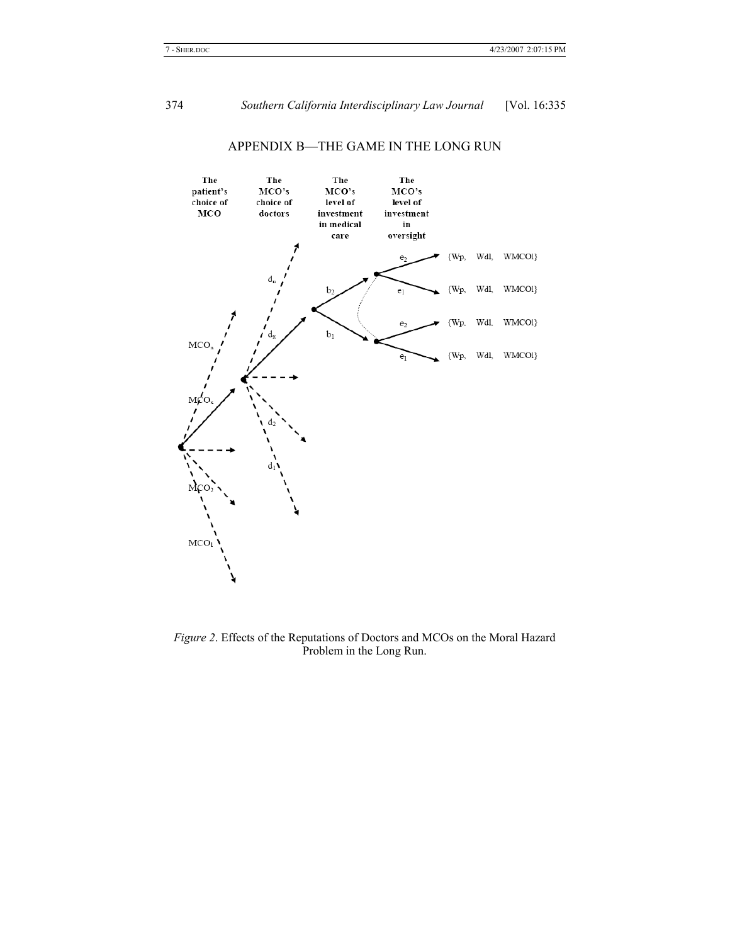

# APPENDIX B—THE GAME IN THE LONG RUN

*Figure 2*. Effects of the Reputations of Doctors and MCOs on the Moral Hazard Problem in the Long Run.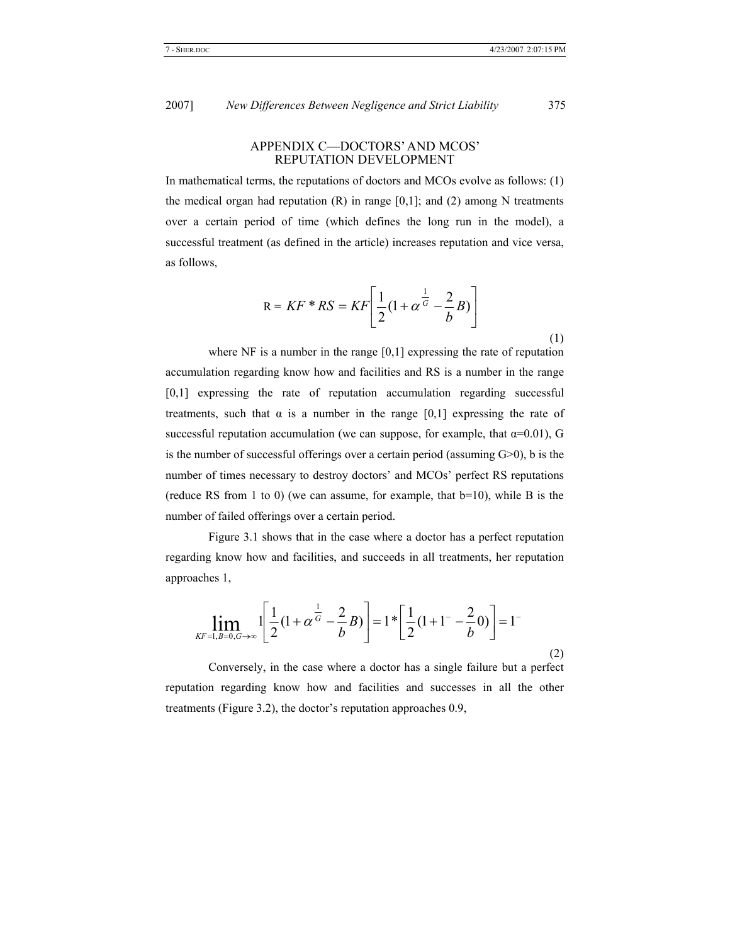# APPENDIX C—DOCTORS' AND MCOS' REPUTATION DEVELOPMENT

In mathematical terms, the reputations of doctors and MCOs evolve as follows: (1) the medical organ had reputation  $(R)$  in range  $[0,1]$ ; and  $(2)$  among N treatments over a certain period of time (which defines the long run in the model), a successful treatment (as defined in the article) increases reputation and vice versa, as follows,

$$
R = KF * RS = KF\left[\frac{1}{2}(1 + \alpha^{\frac{1}{G}} - \frac{2}{b}B)\right]
$$

where NF is a number in the range [0,1] expressing the rate of reputation accumulation regarding know how and facilities and RS is a number in the range [0,1] expressing the rate of reputation accumulation regarding successful treatments, such that  $\alpha$  is a number in the range [0,1] expressing the rate of successful reputation accumulation (we can suppose, for example, that  $\alpha=0.01$ ), G is the number of successful offerings over a certain period (assuming G>0), b is the number of times necessary to destroy doctors' and MCOs' perfect RS reputations (reduce RS from 1 to 0) (we can assume, for example, that b=10), while B is the number of failed offerings over a certain period.

Figure 3.1 shows that in the case where a doctor has a perfect reputation regarding know how and facilities, and succeeds in all treatments, her reputation approaches 1,

$$
\lim_{\substack{KF=1, B=0, G\to\infty}} 1 \left[ \frac{1}{2} (1 + \alpha^{\frac{1}{G}} - \frac{2}{b} B) \right] = 1 \cdot \left[ \frac{1}{2} (1 + 1 - \frac{2}{b} 0) \right] = 1
$$

Conversely, in the case where a doctor has a single failure but a perfect reputation regarding know how and facilities and successes in all the other treatments (Figure 3.2), the doctor's reputation approaches 0.9,

(1)

(2)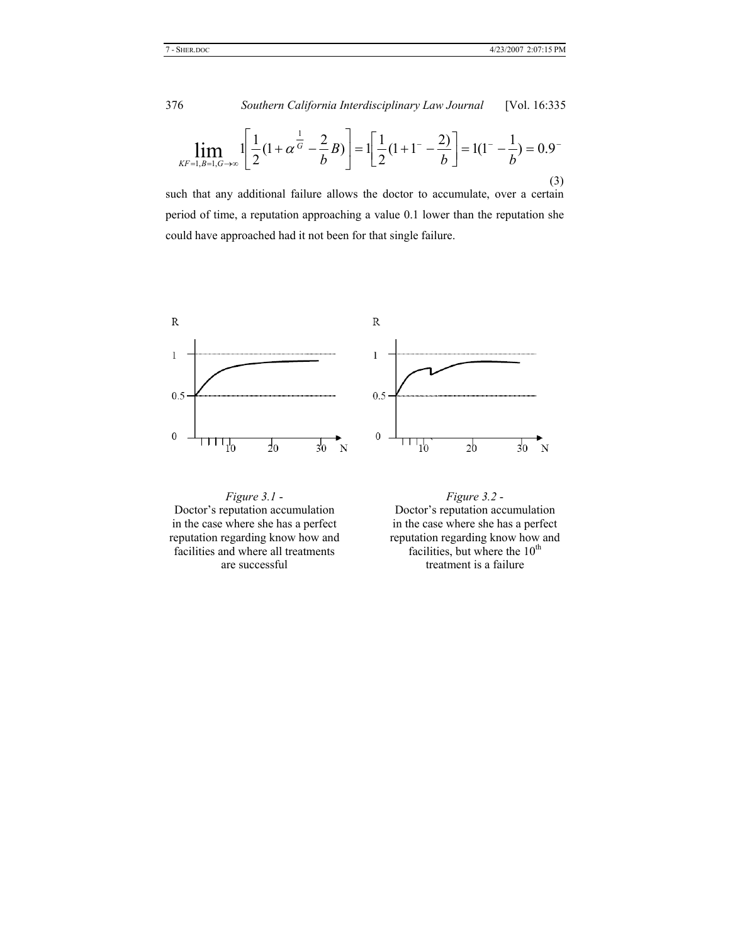$$
\lim_{\substack{AF=1, B=1, G\to\infty}} 1 \left[ \frac{1}{2} (1 + \alpha^{\frac{1}{G}} - \frac{2}{b} B) \right] = 1 \left[ \frac{1}{2} (1 + 1 - \frac{2}{b} \right] = 1(1 - \frac{1}{b}) = 0.9^{-}
$$
\n(3)

such that any additional failure allows the doctor to accumulate, over a certain period of time, a reputation approaching a value 0.1 lower than the reputation she could have approached had it not been for that single failure.